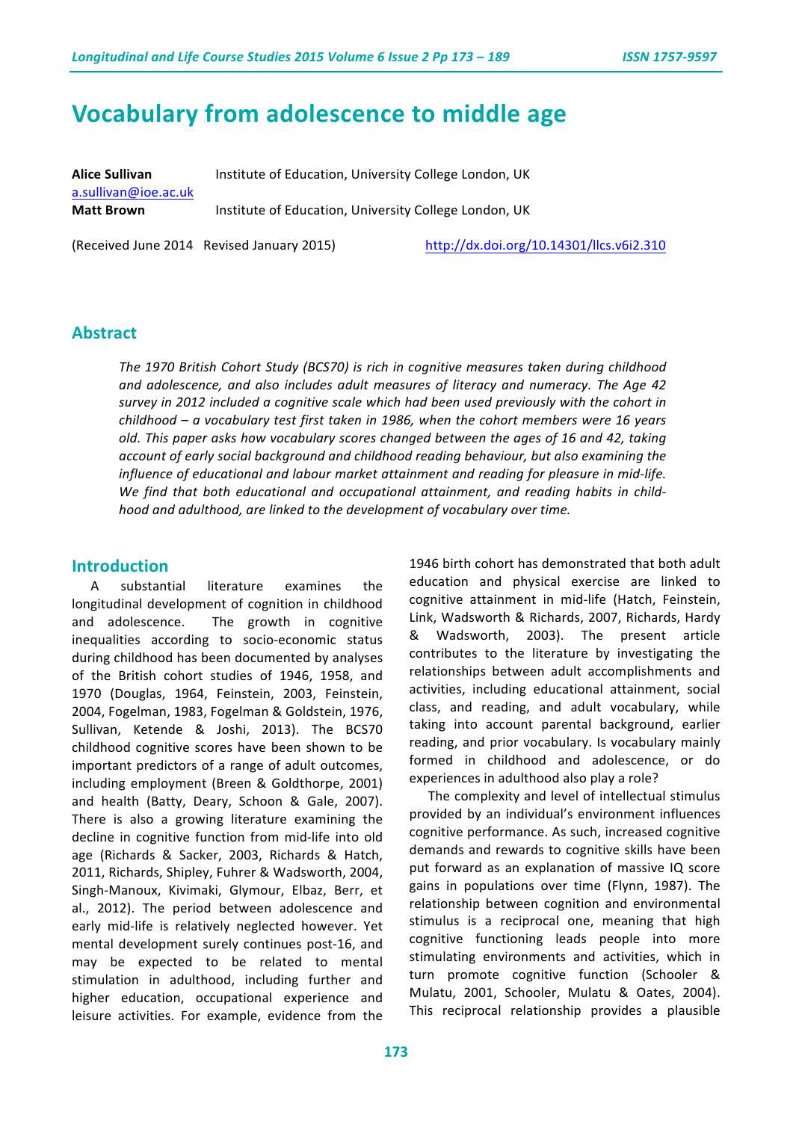# **Vocabulary from adolescence to middle age**

**Alice Sullivan Institute of Education, University College London, UK** a.sullivan@ioe.ac.uk **Matt Brown Institute of Education, University College London, UK** 

(Received June 2014 Revised January 2015)  $\frac{http://dx.doi.org/10.14301/llcs.v6i2.310}{http://dx.doi.org/10.14301/llcs.v6i2.310}$ 

#### **Abstract**

The 1970 British Cohort Study (BCS70) is rich in cognitive measures taken during childhood and adolescence, and also includes adult measures of literacy and numeracy. The Age 42 *survey* in 2012 included a cognitive scale which had been used previously with the cohort in *childhood* – a vocabulary test first taken in 1986, when the cohort members were 16 years old. This paper asks how vocabulary scores changed between the ages of 16 and 42, taking *account of early social background and childhood reading behaviour, but also examining the influence of educational and labour market attainment and reading for pleasure in mid-life.* We find that both educational and occupational attainment, and reading habits in child*hood* and adulthood, are linked to the development of vocabulary over time.

#### **Introduction**

A substantial literature examines the longitudinal development of cognition in childhood and adolescence. The growth in cognitive inequalities according to socio-economic status during childhood has been documented by analyses of the British cohort studies of 1946, 1958, and 1970 (Douglas, 1964, Feinstein, 2003, Feinstein, 2004, Fogelman, 1983, Fogelman & Goldstein, 1976, Sullivan, Ketende & Joshi, 2013). The BCS70 childhood cognitive scores have been shown to be important predictors of a range of adult outcomes, including employment (Breen & Goldthorpe, 2001) and health (Batty, Deary, Schoon & Gale, 2007). There is also a growing literature examining the decline in cognitive function from mid-life into old age (Richards & Sacker, 2003, Richards & Hatch, 2011, Richards, Shipley, Fuhrer & Wadsworth, 2004, Singh-Manoux, Kivimaki, Glymour, Elbaz, Berr, et al., 2012). The period between adolescence and early mid-life is relatively neglected however. Yet mental development surely continues post-16, and may be expected to be related to mental stimulation in adulthood, including further and higher education, occupational experience and leisure activities. For example, evidence from the

1946 birth cohort has demonstrated that both adult education and physical exercise are linked to cognitive attainment in mid-life (Hatch, Feinstein, Link, Wadsworth & Richards, 2007, Richards, Hardy & Wadsworth, 2003). The present article contributes to the literature by investigating the relationships between adult accomplishments and activities, including educational attainment, social class, and reading, and adult vocabulary, while taking into account parental background, earlier reading, and prior vocabulary. Is vocabulary mainly formed in childhood and adolescence, or do experiences in adulthood also play a role?

The complexity and level of intellectual stimulus provided by an individual's environment influences cognitive performance. As such, increased cognitive demands and rewards to cognitive skills have been put forward as an explanation of massive IQ score gains in populations over time (Flynn, 1987). The relationship between cognition and environmental stimulus is a reciprocal one, meaning that high cognitive functioning leads people into more stimulating environments and activities, which in turn promote cognitive function (Schooler & Mulatu, 2001, Schooler, Mulatu & Oates, 2004). This reciprocal relationship provides a plausible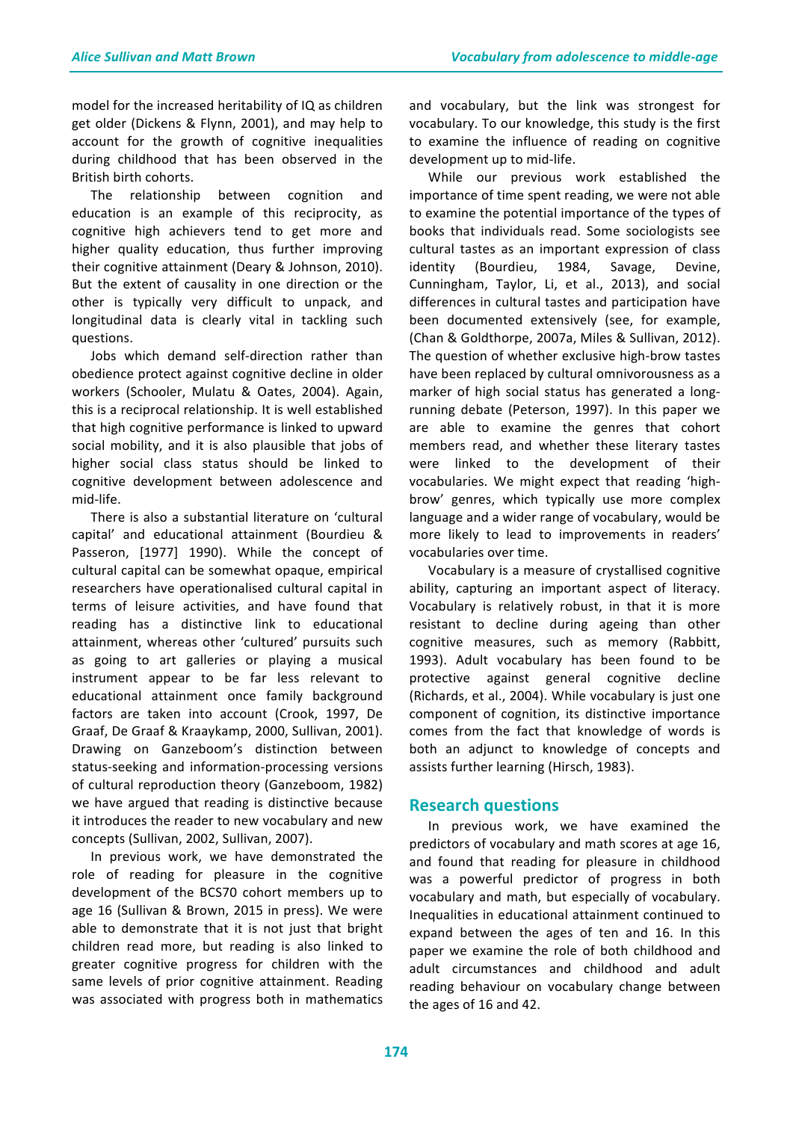model for the increased heritability of IQ as children get older (Dickens & Flynn, 2001), and may help to account for the growth of cognitive inequalities during childhood that has been observed in the British birth cohorts.

The relationship between cognition and education is an example of this reciprocity, as cognitive high achievers tend to get more and higher quality education, thus further improving their cognitive attainment (Deary & Johnson, 2010). But the extent of causality in one direction or the other is typically very difficult to unpack, and longitudinal data is clearly vital in tackling such questions. 

Jobs which demand self-direction rather than obedience protect against cognitive decline in older workers (Schooler, Mulatu & Oates, 2004). Again, this is a reciprocal relationship. It is well established that high cognitive performance is linked to upward social mobility, and it is also plausible that jobs of higher social class status should be linked to cognitive development between adolescence and mid-life.

There is also a substantial literature on 'cultural capital' and educational attainment (Bourdieu & Passeron, [1977] 1990). While the concept of cultural capital can be somewhat opaque, empirical researchers have operationalised cultural capital in terms of leisure activities, and have found that reading has a distinctive link to educational attainment, whereas other 'cultured' pursuits such as going to art galleries or playing a musical instrument appear to be far less relevant to educational attainment once family background factors are taken into account (Crook, 1997, De Graaf, De Graaf & Kraaykamp, 2000, Sullivan, 2001). Drawing on Ganzeboom's distinction between status-seeking and information-processing versions of cultural reproduction theory (Ganzeboom, 1982) we have argued that reading is distinctive because it introduces the reader to new vocabulary and new concepts (Sullivan, 2002, Sullivan, 2007).

In previous work, we have demonstrated the role of reading for pleasure in the cognitive development of the BCS70 cohort members up to age 16 (Sullivan & Brown, 2015 in press). We were able to demonstrate that it is not just that bright children read more, but reading is also linked to greater cognitive progress for children with the same levels of prior cognitive attainment. Reading was associated with progress both in mathematics

and vocabulary, but the link was strongest for vocabulary. To our knowledge, this study is the first to examine the influence of reading on cognitive development up to mid-life.

While our previous work established the importance of time spent reading, we were not able to examine the potential importance of the types of books that individuals read. Some sociologists see cultural tastes as an important expression of class identity (Bourdieu, 1984, Savage, Devine, Cunningham, Taylor, Li, et al., 2013), and social differences in cultural tastes and participation have been documented extensively (see, for example, (Chan & Goldthorpe, 2007a, Miles & Sullivan, 2012). The question of whether exclusive high-brow tastes have been replaced by cultural omnivorousness as a marker of high social status has generated a longrunning debate (Peterson, 1997). In this paper we are able to examine the genres that cohort members read, and whether these literary tastes were linked to the development of their vocabularies. We might expect that reading 'highbrow' genres, which typically use more complex language and a wider range of vocabulary, would be more likely to lead to improvements in readers' vocabularies over time.

Vocabulary is a measure of crystallised cognitive ability, capturing an important aspect of literacy. Vocabulary is relatively robust, in that it is more resistant to decline during ageing than other cognitive measures, such as memory (Rabbitt, 1993). Adult vocabulary has been found to be protective against general cognitive decline (Richards, et al., 2004). While vocabulary is just one component of cognition, its distinctive importance comes from the fact that knowledge of words is both an adjunct to knowledge of concepts and assists further learning (Hirsch, 1983).

### **Research questions**

In previous work, we have examined the predictors of vocabulary and math scores at age 16, and found that reading for pleasure in childhood was a powerful predictor of progress in both vocabulary and math, but especially of vocabulary. Inequalities in educational attainment continued to expand between the ages of ten and 16. In this paper we examine the role of both childhood and adult circumstances and childhood and adult reading behaviour on vocabulary change between the ages of 16 and 42.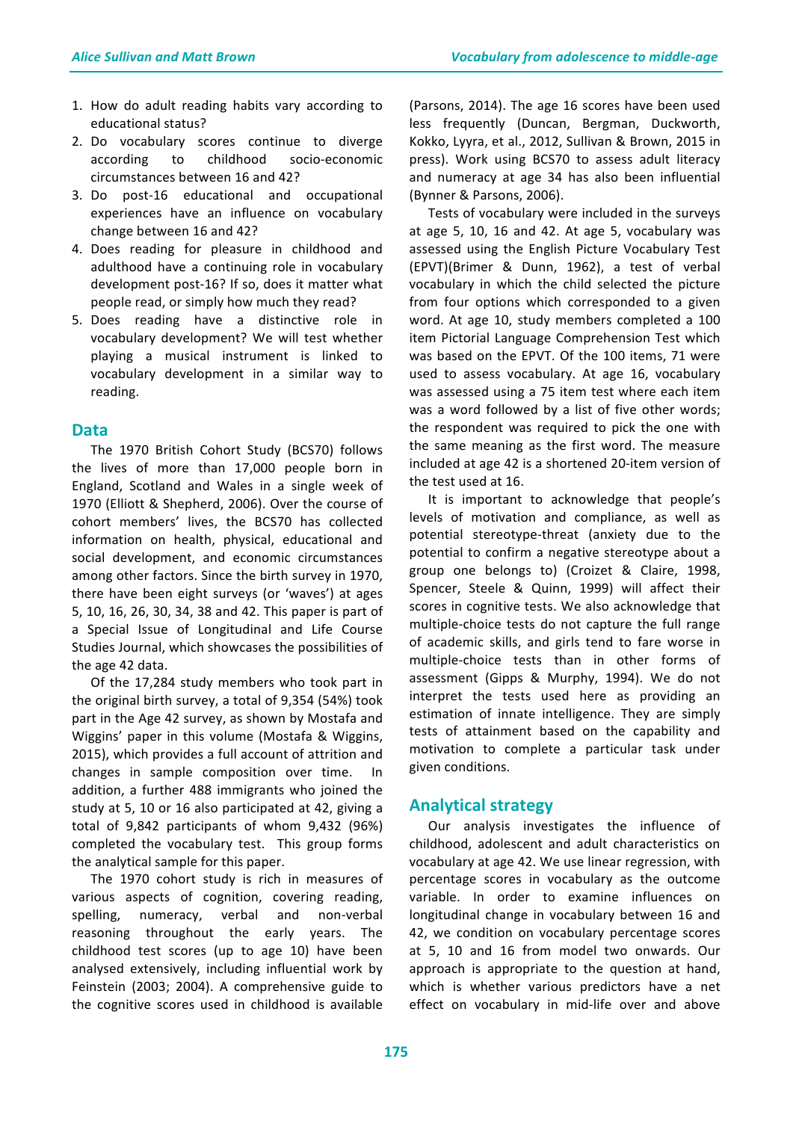- 1. How do adult reading habits vary according to educational status?
- 2. Do vocabulary scores continue to diverge according to childhood socio-economic circumstances between 16 and 42?
- 3. Do post-16 educational and occupational experiences have an influence on vocabulary change between 16 and 42?
- 4. Does reading for pleasure in childhood and adulthood have a continuing role in vocabulary development post-16? If so, does it matter what people read, or simply how much they read?
- 5. Does reading have a distinctive role in vocabulary development? We will test whether playing a musical instrument is linked to vocabulary development in a similar way to reading.

### **Data**

The 1970 British Cohort Study (BCS70) follows the lives of more than 17,000 people born in England, Scotland and Wales in a single week of 1970 (Elliott & Shepherd, 2006). Over the course of cohort members' lives, the BCS70 has collected information on health, physical, educational and social development, and economic circumstances among other factors. Since the birth survey in 1970, there have been eight surveys (or 'waves') at ages 5, 10, 16, 26, 30, 34, 38 and 42. This paper is part of a Special Issue of Longitudinal and Life Course Studies Journal, which showcases the possibilities of the age 42 data.

Of the 17,284 study members who took part in the original birth survey, a total of  $9,354$  (54%) took part in the Age 42 survey, as shown by Mostafa and Wiggins' paper in this volume (Mostafa & Wiggins, 2015), which provides a full account of attrition and changes in sample composition over time. In addition, a further 488 immigrants who joined the study at 5, 10 or 16 also participated at 42, giving a total of 9,842 participants of whom 9,432 (96%) completed the vocabulary test. This group forms the analytical sample for this paper.

The 1970 cohort study is rich in measures of various aspects of cognition, covering reading, spelling, numeracy, verbal and non-verbal reasoning throughout the early years. The childhood test scores (up to age 10) have been analysed extensively, including influential work by Feinstein (2003; 2004). A comprehensive guide to the cognitive scores used in childhood is available

(Parsons, 2014). The age 16 scores have been used less frequently (Duncan, Bergman, Duckworth, Kokko, Lyyra, et al., 2012, Sullivan & Brown, 2015 in press). Work using BCS70 to assess adult literacy and numeracy at age 34 has also been influential (Bynner & Parsons, 2006).

Tests of vocabulary were included in the surveys at age  $5, 10, 16$  and  $42.$  At age  $5$ , vocabulary was assessed using the English Picture Vocabulary Test (EPVT)(Brimer & Dunn, 1962), a test of verbal vocabulary in which the child selected the picture from four options which corresponded to a given word. At age 10, study members completed a 100 item Pictorial Language Comprehension Test which was based on the EPVT. Of the 100 items, 71 were used to assess vocabulary. At age 16, vocabulary was assessed using a 75 item test where each item was a word followed by a list of five other words; the respondent was required to pick the one with the same meaning as the first word. The measure included at age 42 is a shortened 20-item version of the test used at 16.

It is important to acknowledge that people's levels of motivation and compliance, as well as potential stereotype-threat (anxiety due to the potential to confirm a negative stereotype about a group one belongs to) (Croizet & Claire, 1998, Spencer, Steele & Quinn, 1999) will affect their scores in cognitive tests. We also acknowledge that multiple-choice tests do not capture the full range of academic skills, and girls tend to fare worse in multiple-choice tests than in other forms of assessment (Gipps & Murphy, 1994). We do not interpret the tests used here as providing an estimation of innate intelligence. They are simply tests of attainment based on the capability and motivation to complete a particular task under given conditions.

### **Analytical strategy**

Our analysis investigates the influence of childhood, adolescent and adult characteristics on vocabulary at age 42. We use linear regression, with percentage scores in vocabulary as the outcome variable. In order to examine influences on longitudinal change in vocabulary between 16 and 42, we condition on vocabulary percentage scores at 5, 10 and 16 from model two onwards. Our approach is appropriate to the question at hand, which is whether various predictors have a net effect on vocabulary in mid-life over and above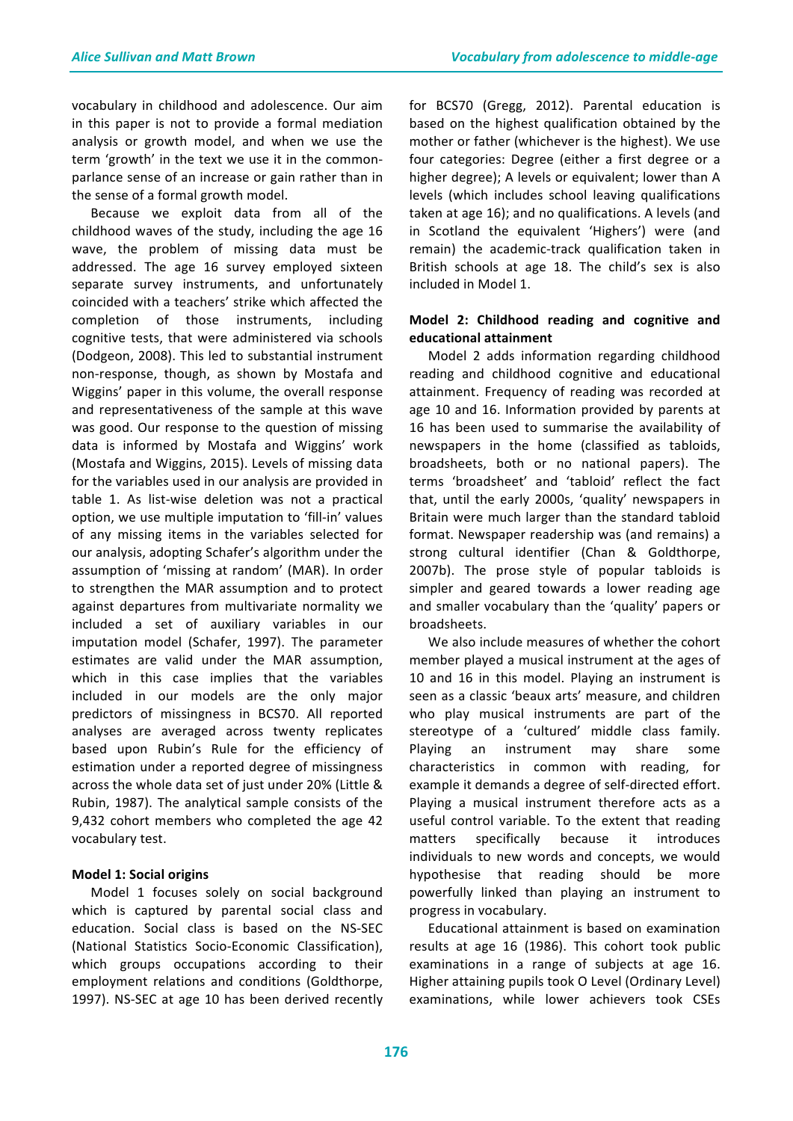vocabulary in childhood and adolescence. Our aim in this paper is not to provide a formal mediation analysis or growth model, and when we use the term 'growth' in the text we use it in the commonparlance sense of an increase or gain rather than in the sense of a formal growth model.

Because we exploit data from all of the childhood waves of the study, including the age 16 wave, the problem of missing data must be addressed. The age 16 survey employed sixteen separate survey instruments, and unfortunately coincided with a teachers' strike which affected the completion of those instruments, including cognitive tests, that were administered via schools (Dodgeon, 2008). This led to substantial instrument non-response, though, as shown by Mostafa and Wiggins' paper in this volume, the overall response and representativeness of the sample at this wave was good. Our response to the question of missing data is informed by Mostafa and Wiggins' work (Mostafa and Wiggins, 2015). Levels of missing data for the variables used in our analysis are provided in table 1. As list-wise deletion was not a practical option, we use multiple imputation to 'fill-in' values of any missing items in the variables selected for our analysis, adopting Schafer's algorithm under the assumption of 'missing at random' (MAR). In order to strengthen the MAR assumption and to protect against departures from multivariate normality we included a set of auxiliary variables in our imputation model (Schafer, 1997). The parameter estimates are valid under the MAR assumption, which in this case implies that the variables included in our models are the only major predictors of missingness in BCS70. All reported analyses are averaged across twenty replicates based upon Rubin's Rule for the efficiency of estimation under a reported degree of missingness across the whole data set of just under 20% (Little & Rubin, 1987). The analytical sample consists of the 9,432 cohort members who completed the age 42 vocabulary test.

#### **Model 1: Social origins**

Model 1 focuses solely on social background which is captured by parental social class and education. Social class is based on the NS-SEC (National Statistics Socio-Economic Classification), which groups occupations according to their employment relations and conditions (Goldthorpe, 1997). NS-SEC at age 10 has been derived recently for BCS70 (Gregg, 2012). Parental education is based on the highest qualification obtained by the mother or father (whichever is the highest). We use four categories: Degree (either a first degree or a higher degree); A levels or equivalent; lower than A levels (which includes school leaving qualifications taken at age 16); and no qualifications. A levels (and in Scotland the equivalent 'Highers') were (and remain) the academic-track qualification taken in British schools at age 18. The child's sex is also included in Model 1.

### Model 2: Childhood reading and cognitive and **educational attainment**

Model 2 adds information regarding childhood reading and childhood cognitive and educational attainment. Frequency of reading was recorded at age 10 and 16. Information provided by parents at 16 has been used to summarise the availability of newspapers in the home (classified as tabloids, broadsheets, both or no national papers). The terms 'broadsheet' and 'tabloid' reflect the fact that, until the early 2000s, 'quality' newspapers in Britain were much larger than the standard tabloid format. Newspaper readership was (and remains) a strong cultural identifier (Chan & Goldthorpe, 2007b). The prose style of popular tabloids is simpler and geared towards a lower reading age and smaller vocabulary than the 'quality' papers or broadsheets. 

We also include measures of whether the cohort member played a musical instrument at the ages of 10 and 16 in this model. Playing an instrument is seen as a classic 'beaux arts' measure, and children who play musical instruments are part of the stereotype of a 'cultured' middle class family. Playing an instrument may share some characteristics in common with reading, for example it demands a degree of self-directed effort. Playing a musical instrument therefore acts as a useful control variable. To the extent that reading matters specifically because it introduces individuals to new words and concepts, we would hypothesise that reading should be more powerfully linked than playing an instrument to progress in vocabulary.

Educational attainment is based on examination results at age 16 (1986). This cohort took public examinations in a range of subjects at age 16. Higher attaining pupils took O Level (Ordinary Level) examinations, while lower achievers took CSEs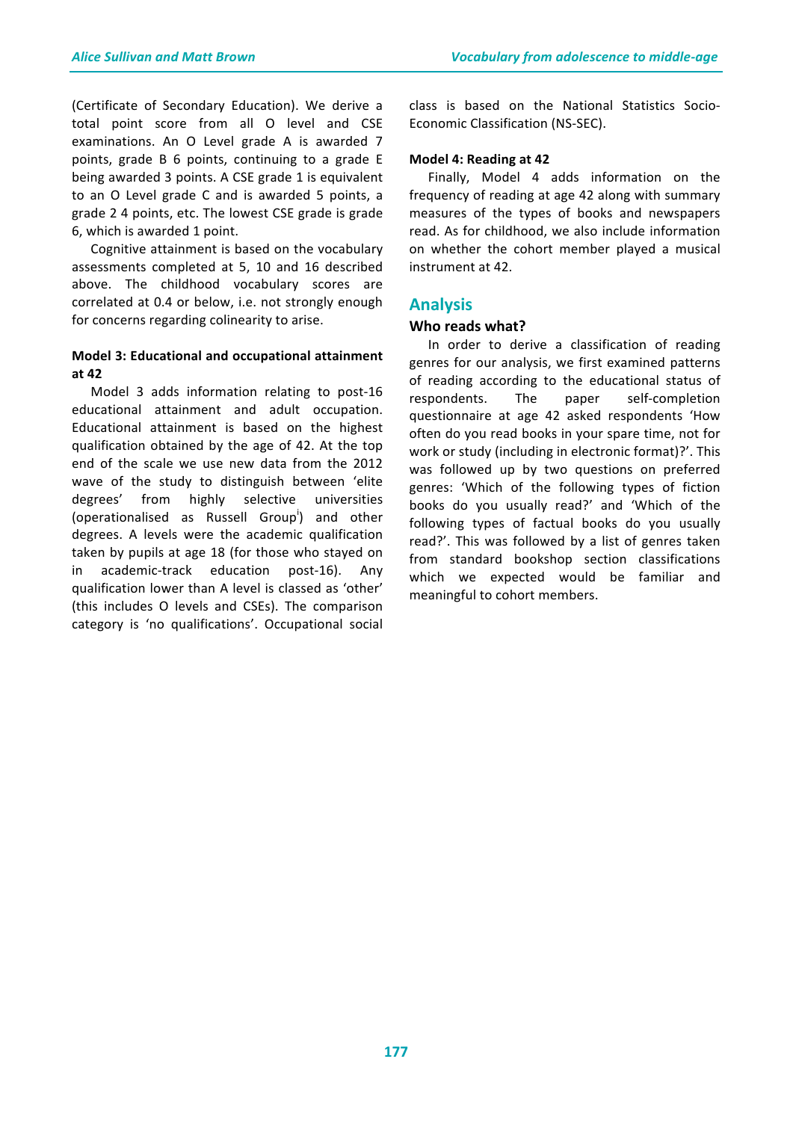(Certificate of Secondary Education). We derive a total point score from all O level and CSE examinations. An O Level grade A is awarded 7 points, grade B 6 points, continuing to a grade E being awarded 3 points. A CSE grade 1 is equivalent to an O Level grade C and is awarded 5 points, a grade 2 4 points, etc. The lowest CSE grade is grade 6, which is awarded 1 point.

Cognitive attainment is based on the vocabulary assessments completed at 5, 10 and 16 described above. The childhood vocabulary scores are correlated at 0.4 or below, i.e. not strongly enough for concerns regarding colinearity to arise.

#### **Model 3: Educational and occupational attainment at 42**

Model 3 adds information relating to post-16 educational attainment and adult occupation. Educational attainment is based on the highest qualification obtained by the age of 42. At the top end of the scale we use new data from the 2012 wave of the study to distinguish between 'elite degrees' from highly selective universities (operationalised as Russell Group<sup>i</sup>) and other degrees. A levels were the academic qualification taken by pupils at age 18 (for those who stayed on in academic-track education post-16). Any qualification lower than A level is classed as 'other' (this includes O levels and CSEs). The comparison category is 'no qualifications'. Occupational social

class is based on the National Statistics Socio-Economic Classification (NS-SEC).

#### **Model 4: Reading at 42**

Finally, Model 4 adds information on the frequency of reading at age 42 along with summary measures of the types of books and newspapers read. As for childhood, we also include information on whether the cohort member played a musical instrument at 42.

### **Analysis**

### **Who reads what?**

In order to derive a classification of reading genres for our analysis, we first examined patterns of reading according to the educational status of respondents. The paper self-completion questionnaire at age 42 asked respondents 'How often do you read books in your spare time, not for work or study (including in electronic format)?'. This was followed up by two questions on preferred genres: 'Which of the following types of fiction books do you usually read?' and 'Which of the following types of factual books do you usually read?'. This was followed by a list of genres taken from standard bookshop section classifications which we expected would be familiar and meaningful to cohort members.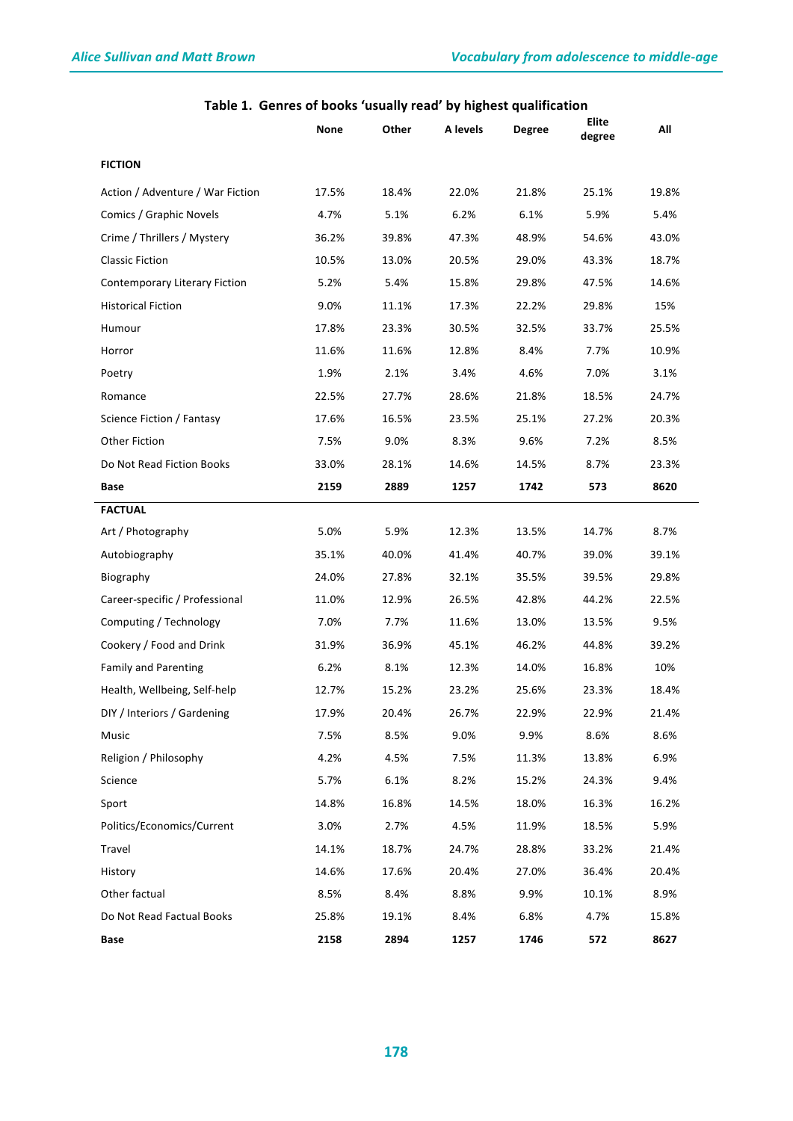|                                      | None  | Other | A levels | <b>Degree</b> | Elite<br>degree | All   |
|--------------------------------------|-------|-------|----------|---------------|-----------------|-------|
| <b>FICTION</b>                       |       |       |          |               |                 |       |
| Action / Adventure / War Fiction     | 17.5% | 18.4% | 22.0%    | 21.8%         | 25.1%           | 19.8% |
| Comics / Graphic Novels              | 4.7%  | 5.1%  | 6.2%     | 6.1%          | 5.9%            | 5.4%  |
| Crime / Thrillers / Mystery          | 36.2% | 39.8% | 47.3%    | 48.9%         | 54.6%           | 43.0% |
| <b>Classic Fiction</b>               | 10.5% | 13.0% | 20.5%    | 29.0%         | 43.3%           | 18.7% |
| <b>Contemporary Literary Fiction</b> | 5.2%  | 5.4%  | 15.8%    | 29.8%         | 47.5%           | 14.6% |
| <b>Historical Fiction</b>            | 9.0%  | 11.1% | 17.3%    | 22.2%         | 29.8%           | 15%   |
| Humour                               | 17.8% | 23.3% | 30.5%    | 32.5%         | 33.7%           | 25.5% |
| Horror                               | 11.6% | 11.6% | 12.8%    | 8.4%          | 7.7%            | 10.9% |
| Poetry                               | 1.9%  | 2.1%  | 3.4%     | 4.6%          | 7.0%            | 3.1%  |
| Romance                              | 22.5% | 27.7% | 28.6%    | 21.8%         | 18.5%           | 24.7% |
| Science Fiction / Fantasy            | 17.6% | 16.5% | 23.5%    | 25.1%         | 27.2%           | 20.3% |
| Other Fiction                        | 7.5%  | 9.0%  | 8.3%     | 9.6%          | 7.2%            | 8.5%  |
| Do Not Read Fiction Books            | 33.0% | 28.1% | 14.6%    | 14.5%         | 8.7%            | 23.3% |
| Base                                 | 2159  | 2889  | 1257     | 1742          | 573             | 8620  |
| <b>FACTUAL</b>                       |       |       |          |               |                 |       |
| Art / Photography                    | 5.0%  | 5.9%  | 12.3%    | 13.5%         | 14.7%           | 8.7%  |
| Autobiography                        | 35.1% | 40.0% | 41.4%    | 40.7%         | 39.0%           | 39.1% |
| Biography                            | 24.0% | 27.8% | 32.1%    | 35.5%         | 39.5%           | 29.8% |
| Career-specific / Professional       | 11.0% | 12.9% | 26.5%    | 42.8%         | 44.2%           | 22.5% |
| Computing / Technology               | 7.0%  | 7.7%  | 11.6%    | 13.0%         | 13.5%           | 9.5%  |
| Cookery / Food and Drink             | 31.9% | 36.9% | 45.1%    | 46.2%         | 44.8%           | 39.2% |
| <b>Family and Parenting</b>          | 6.2%  | 8.1%  | 12.3%    | 14.0%         | 16.8%           | 10%   |
| Health, Wellbeing, Self-help         | 12.7% | 15.2% | 23.2%    | 25.6%         | 23.3%           | 18.4% |
| DIY / Interiors / Gardening          | 17.9% | 20.4% | 26.7%    | 22.9%         | 22.9%           | 21.4% |
| Music                                | 7.5%  | 8.5%  | 9.0%     | 9.9%          | 8.6%            | 8.6%  |
| Religion / Philosophy                | 4.2%  | 4.5%  | 7.5%     | 11.3%         | 13.8%           | 6.9%  |
| Science                              | 5.7%  | 6.1%  | 8.2%     | 15.2%         | 24.3%           | 9.4%  |
| Sport                                | 14.8% | 16.8% | 14.5%    | 18.0%         | 16.3%           | 16.2% |
| Politics/Economics/Current           | 3.0%  | 2.7%  | 4.5%     | 11.9%         | 18.5%           | 5.9%  |
| Travel                               | 14.1% | 18.7% | 24.7%    | 28.8%         | 33.2%           | 21.4% |
| History                              | 14.6% | 17.6% | 20.4%    | 27.0%         | 36.4%           | 20.4% |
| Other factual                        | 8.5%  | 8.4%  | 8.8%     | 9.9%          | 10.1%           | 8.9%  |
| Do Not Read Factual Books            | 25.8% | 19.1% | 8.4%     | 6.8%          | 4.7%            | 15.8% |
| Base                                 | 2158  | 2894  | 1257     | 1746          | 572             | 8627  |

### Table 1. Genres of books 'usually read' by highest qualification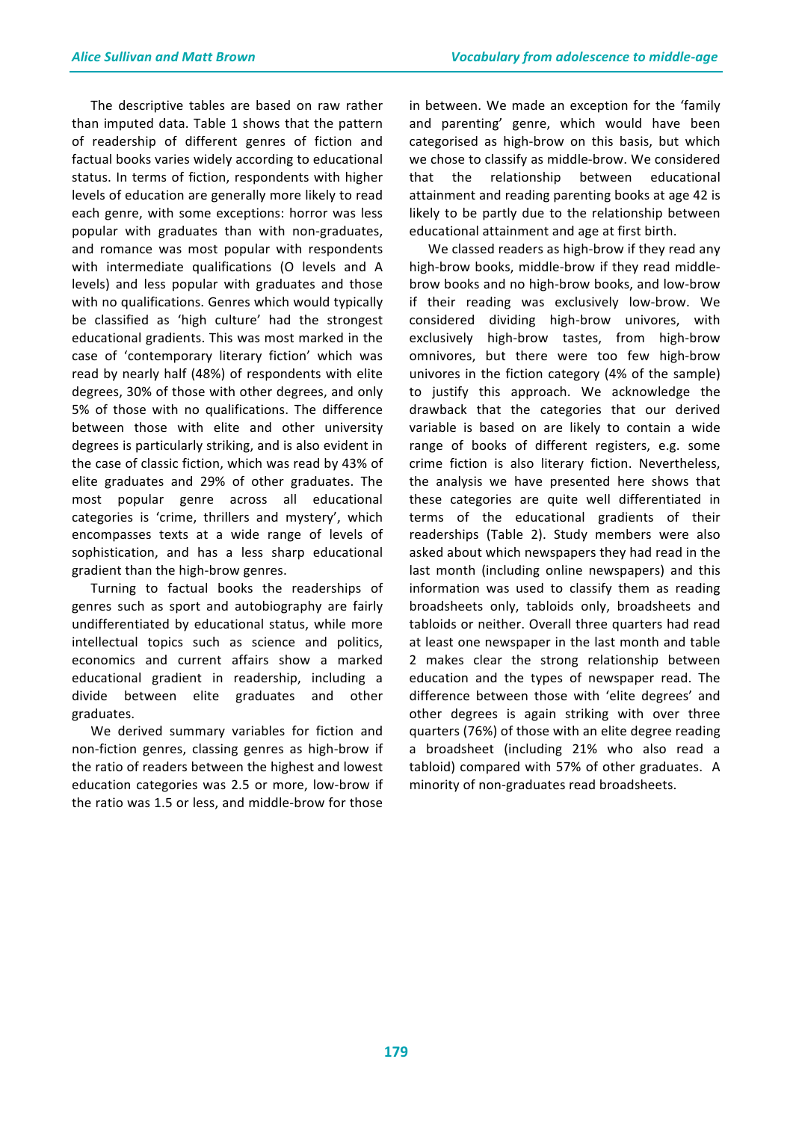The descriptive tables are based on raw rather than imputed data. Table 1 shows that the pattern of readership of different genres of fiction and factual books varies widely according to educational status. In terms of fiction, respondents with higher levels of education are generally more likely to read each genre, with some exceptions: horror was less popular with graduates than with non-graduates, and romance was most popular with respondents with intermediate qualifications (O levels and A levels) and less popular with graduates and those with no qualifications. Genres which would typically be classified as 'high culture' had the strongest educational gradients. This was most marked in the case of 'contemporary literary fiction' which was read by nearly half (48%) of respondents with elite degrees, 30% of those with other degrees, and only 5% of those with no qualifications. The difference between those with elite and other university degrees is particularly striking, and is also evident in the case of classic fiction, which was read by 43% of elite graduates and 29% of other graduates. The most popular genre across all educational categories is 'crime, thrillers and mystery', which encompasses texts at a wide range of levels of sophistication, and has a less sharp educational gradient than the high-brow genres.

Turning to factual books the readerships of genres such as sport and autobiography are fairly undifferentiated by educational status, while more intellectual topics such as science and politics, economics and current affairs show a marked educational gradient in readership, including a divide between elite graduates and other graduates.

We derived summary variables for fiction and non-fiction genres, classing genres as high-brow if the ratio of readers between the highest and lowest education categories was 2.5 or more, low-brow if the ratio was 1.5 or less, and middle-brow for those

in between. We made an exception for the 'family and parenting' genre, which would have been categorised as high-brow on this basis, but which we chose to classify as middle-brow. We considered that the relationship between educational attainment and reading parenting books at age 42 is likely to be partly due to the relationship between educational attainment and age at first birth.

We classed readers as high-brow if they read any high-brow books, middle-brow if they read middlebrow books and no high-brow books, and low-brow if their reading was exclusively low-brow. We considered dividing high-brow univores, with exclusively high-brow tastes, from high-brow omnivores, but there were too few high-brow univores in the fiction category  $(4%$  of the sample) to justify this approach. We acknowledge the drawback that the categories that our derived variable is based on are likely to contain a wide range of books of different registers, e.g. some crime fiction is also literary fiction. Nevertheless, the analysis we have presented here shows that these categories are quite well differentiated in terms of the educational gradients of their readerships (Table 2). Study members were also asked about which newspapers they had read in the last month (including online newspapers) and this information was used to classify them as reading broadsheets only, tabloids only, broadsheets and tabloids or neither. Overall three quarters had read at least one newspaper in the last month and table 2 makes clear the strong relationship between education and the types of newspaper read. The difference between those with 'elite degrees' and other degrees is again striking with over three quarters (76%) of those with an elite degree reading a broadsheet (including 21% who also read a tabloid) compared with 57% of other graduates. A minority of non-graduates read broadsheets.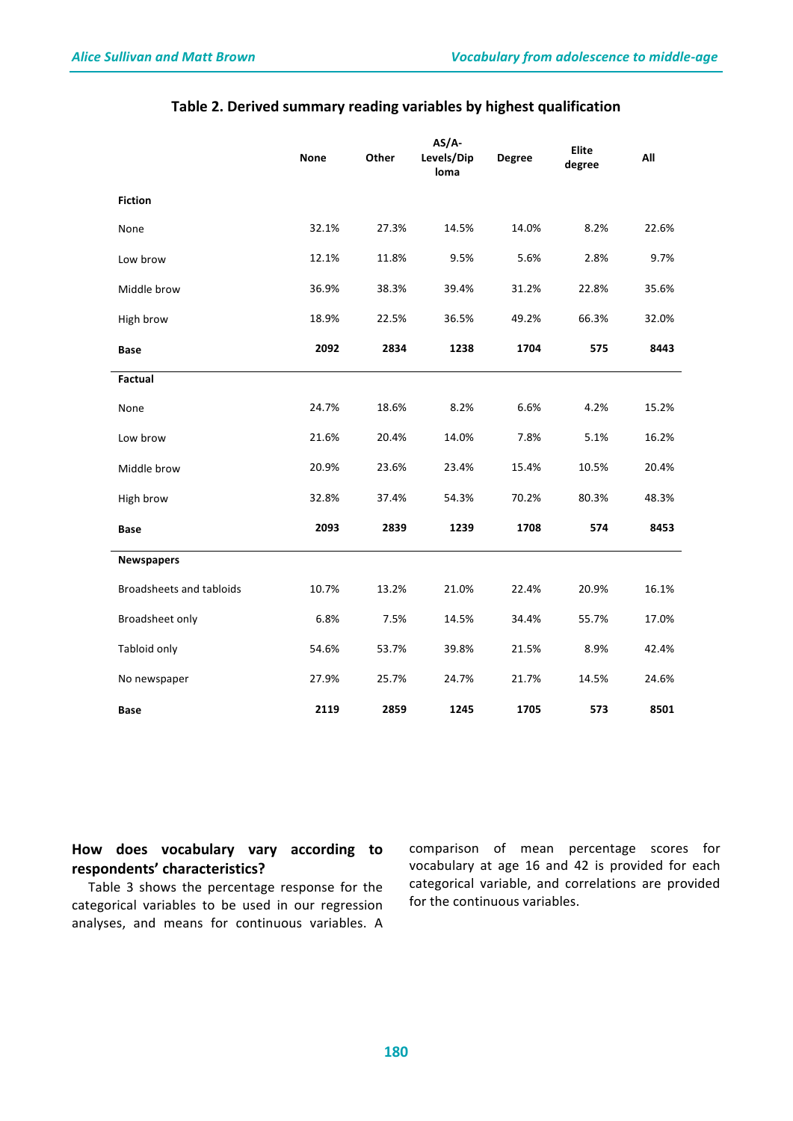|                          | <b>None</b> | Other | $AS/A-$<br>Levels/Dip<br>loma | <b>Degree</b> | <b>Elite</b><br>degree | All   |
|--------------------------|-------------|-------|-------------------------------|---------------|------------------------|-------|
| <b>Fiction</b>           |             |       |                               |               |                        |       |
| None                     | 32.1%       | 27.3% | 14.5%                         | 14.0%         | 8.2%                   | 22.6% |
| Low brow                 | 12.1%       | 11.8% | 9.5%                          | 5.6%          | 2.8%                   | 9.7%  |
| Middle brow              | 36.9%       | 38.3% | 39.4%                         | 31.2%         | 22.8%                  | 35.6% |
| High brow                | 18.9%       | 22.5% | 36.5%                         | 49.2%         | 66.3%                  | 32.0% |
| <b>Base</b>              | 2092        | 2834  | 1238                          | 1704          | 575                    | 8443  |
| Factual                  |             |       |                               |               |                        |       |
| None                     | 24.7%       | 18.6% | 8.2%                          | 6.6%          | 4.2%                   | 15.2% |
| Low brow                 | 21.6%       | 20.4% | 14.0%                         | 7.8%          | 5.1%                   | 16.2% |
| Middle brow              | 20.9%       | 23.6% | 23.4%                         | 15.4%         | 10.5%                  | 20.4% |
| High brow                | 32.8%       | 37.4% | 54.3%                         | 70.2%         | 80.3%                  | 48.3% |
| Base                     | 2093        | 2839  | 1239                          | 1708          | 574                    | 8453  |
| <b>Newspapers</b>        |             |       |                               |               |                        |       |
| Broadsheets and tabloids | 10.7%       | 13.2% | 21.0%                         | 22.4%         | 20.9%                  | 16.1% |
| Broadsheet only          | 6.8%        | 7.5%  | 14.5%                         | 34.4%         | 55.7%                  | 17.0% |
| Tabloid only             | 54.6%       | 53.7% | 39.8%                         | 21.5%         | 8.9%                   | 42.4% |
| No newspaper             | 27.9%       | 25.7% | 24.7%                         | 21.7%         | 14.5%                  | 24.6% |
| Base                     | 2119        | 2859  | 1245                          | 1705          | 573                    | 8501  |

### Table 2. Derived summary reading variables by highest qualification

### How does vocabulary vary according to **respondents' characteristics?**

Table 3 shows the percentage response for the categorical variables to be used in our regression analyses, and means for continuous variables. A

comparison of mean percentage scores for vocabulary at age 16 and 42 is provided for each categorical variable, and correlations are provided for the continuous variables.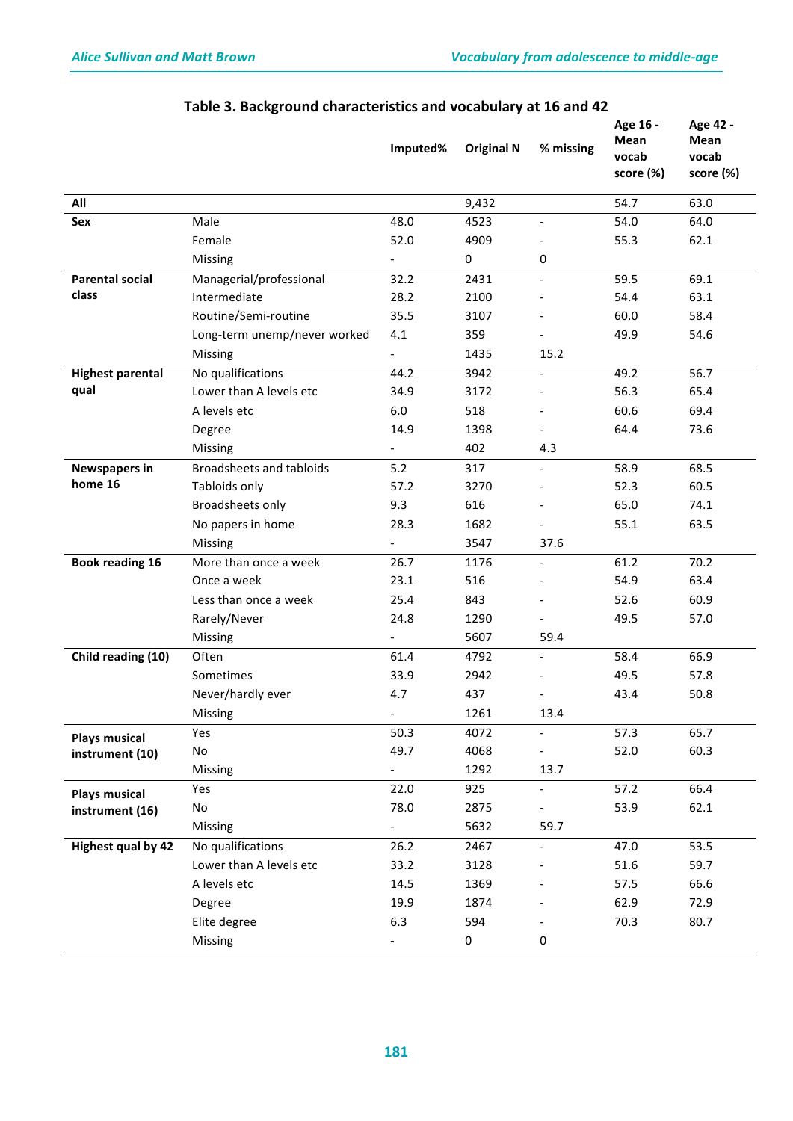|                           |                              | Imputed%                 | <b>Original N</b> | % missing                | Age 16 -<br>Mean<br>vocab<br>score (%) | Age 42 -<br>Mean<br>vocab<br>score (%) |
|---------------------------|------------------------------|--------------------------|-------------------|--------------------------|----------------------------------------|----------------------------------------|
| All                       |                              |                          | 9,432             |                          | 54.7                                   | 63.0                                   |
| Sex                       | Male                         | 48.0                     | 4523              |                          | 54.0                                   | 64.0                                   |
|                           | Female                       | 52.0                     | 4909              |                          | 55.3                                   | 62.1                                   |
|                           | Missing                      |                          | 0                 | 0                        |                                        |                                        |
| <b>Parental social</b>    | Managerial/professional      | 32.2                     | 2431              | $\overline{\phantom{a}}$ | 59.5                                   | 69.1                                   |
| class                     | Intermediate                 | 28.2                     | 2100              |                          | 54.4                                   | 63.1                                   |
|                           | Routine/Semi-routine         | 35.5                     | 3107              |                          | 60.0                                   | 58.4                                   |
|                           | Long-term unemp/never worked | 4.1                      | 359               |                          | 49.9                                   | 54.6                                   |
|                           | Missing                      | $\overline{\phantom{a}}$ | 1435              | 15.2                     |                                        |                                        |
| <b>Highest parental</b>   | No qualifications            | 44.2                     | 3942              | $\blacksquare$           | 49.2                                   | 56.7                                   |
| qual                      | Lower than A levels etc      | 34.9                     | 3172              |                          | 56.3                                   | 65.4                                   |
|                           | A levels etc                 | 6.0                      | 518               |                          | 60.6                                   | 69.4                                   |
|                           | Degree                       | 14.9                     | 1398              |                          | 64.4                                   | 73.6                                   |
|                           | Missing                      |                          | 402               | 4.3                      |                                        |                                        |
| <b>Newspapers in</b>      | Broadsheets and tabloids     | 5.2                      | 317               | $\blacksquare$           | 58.9                                   | 68.5                                   |
| home 16                   | Tabloids only                | 57.2                     | 3270              |                          | 52.3                                   | 60.5                                   |
|                           | Broadsheets only             | 9.3                      | 616               |                          | 65.0                                   | 74.1                                   |
|                           | No papers in home            | 28.3                     | 1682              |                          | 55.1                                   | 63.5                                   |
|                           | Missing                      |                          | 3547              | 37.6                     |                                        |                                        |
| <b>Book reading 16</b>    | More than once a week        | 26.7                     | 1176              | $\overline{\phantom{a}}$ | 61.2                                   | 70.2                                   |
|                           | Once a week                  | 23.1                     | 516               |                          | 54.9                                   | 63.4                                   |
|                           | Less than once a week        | 25.4                     | 843               |                          | 52.6                                   | 60.9                                   |
|                           | Rarely/Never                 | 24.8                     | 1290              |                          | 49.5                                   | 57.0                                   |
|                           | Missing                      |                          | 5607              | 59.4                     |                                        |                                        |
| Child reading (10)        | Often                        | 61.4                     | 4792              | $\overline{\phantom{a}}$ | 58.4                                   | 66.9                                   |
|                           | Sometimes                    | 33.9                     | 2942              |                          | 49.5                                   | 57.8                                   |
|                           | Never/hardly ever            | 4.7                      | 437               |                          | 43.4                                   | 50.8                                   |
|                           | Missing                      |                          | 1261              | 13.4                     |                                        |                                        |
| <b>Plays musical</b>      | Yes                          | 50.3                     | 4072              |                          | 57.3                                   | 65.7                                   |
| instrument (10)           | No                           | 49.7                     | 4068              |                          | 52.0                                   | 60.3                                   |
|                           | Missing                      |                          | 1292              | 13.7                     |                                        |                                        |
| <b>Plays musical</b>      | Yes                          | 22.0                     | 925               |                          | 57.2                                   | 66.4                                   |
| instrument (16)           | No                           | 78.0                     | 2875              |                          | 53.9                                   | 62.1                                   |
|                           | Missing                      | $\overline{\phantom{0}}$ | 5632              | 59.7                     |                                        |                                        |
| <b>Highest qual by 42</b> | No qualifications            | 26.2                     | 2467              |                          | 47.0                                   | 53.5                                   |
|                           | Lower than A levels etc      | 33.2                     | 3128              |                          | 51.6                                   | 59.7                                   |
|                           | A levels etc                 | 14.5                     | 1369              |                          | 57.5                                   | 66.6                                   |
|                           | Degree                       | 19.9                     | 1874              |                          | 62.9                                   | 72.9                                   |
|                           | Elite degree                 | 6.3                      | 594               |                          | 70.3                                   | 80.7                                   |
|                           | Missing                      |                          | $\pmb{0}$         | 0                        |                                        |                                        |

# Table 3. Background characteristics and vocabulary at 16 and 42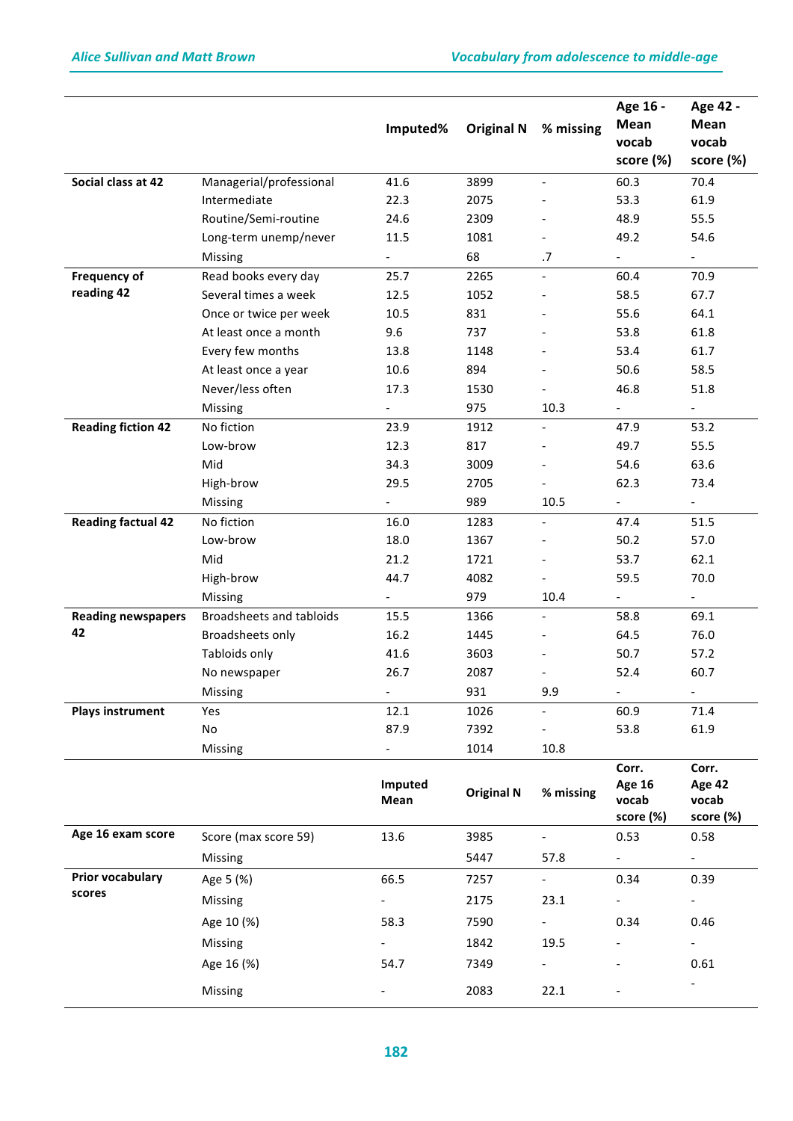|                           |                          | Imputed%                 | <b>Original N</b> | % missing                    | Age 16 -<br>Mean<br>vocab<br>score (%)       | Age 42 -<br>Mean<br>vocab<br>score (%) |
|---------------------------|--------------------------|--------------------------|-------------------|------------------------------|----------------------------------------------|----------------------------------------|
| Social class at 42        | Managerial/professional  |                          | 3899              |                              |                                              |                                        |
|                           | Intermediate             | 41.6<br>22.3             | 2075              | $\qquad \qquad \blacksquare$ | 60.3<br>53.3                                 | 70.4<br>61.9                           |
|                           | Routine/Semi-routine     | 24.6                     | 2309              |                              | 48.9                                         | 55.5                                   |
|                           | Long-term unemp/never    | 11.5                     | 1081              |                              | 49.2                                         | 54.6                                   |
|                           | Missing                  | $\overline{\phantom{0}}$ | 68                | .7                           | $\overline{a}$                               | $\overline{\phantom{a}}$               |
| <b>Frequency of</b>       | Read books every day     | 25.7                     | 2265              | $\overline{\phantom{a}}$     | 60.4                                         | 70.9                                   |
| reading 42                | Several times a week     | 12.5                     | 1052              |                              | 58.5                                         | 67.7                                   |
|                           | Once or twice per week   | 10.5                     | 831               |                              | 55.6                                         | 64.1                                   |
|                           | At least once a month    | 9.6                      | 737               |                              | 53.8                                         | 61.8                                   |
|                           | Every few months         | 13.8                     | 1148              |                              | 53.4                                         | 61.7                                   |
|                           | At least once a year     | 10.6                     | 894               |                              | 50.6                                         | 58.5                                   |
|                           | Never/less often         | 17.3                     | 1530              |                              | 46.8                                         | 51.8                                   |
|                           | Missing                  | $\overline{\phantom{0}}$ | 975               | 10.3                         |                                              | $\blacksquare$                         |
| <b>Reading fiction 42</b> | No fiction               | 23.9                     | 1912              | $\qquad \qquad \blacksquare$ | 47.9                                         | 53.2                                   |
|                           | Low-brow                 | 12.3                     | 817               |                              | 49.7                                         | 55.5                                   |
|                           | Mid                      | 34.3                     | 3009              |                              | 54.6                                         | 63.6                                   |
|                           | High-brow                | 29.5                     | 2705              |                              | 62.3                                         | 73.4                                   |
|                           | Missing                  | $\overline{\phantom{0}}$ | 989               | 10.5                         | $\overline{\phantom{a}}$                     | $\overline{\phantom{a}}$               |
| <b>Reading factual 42</b> | No fiction               | 16.0                     | 1283              | $\overline{\phantom{a}}$     | 47.4                                         | 51.5                                   |
|                           | Low-brow                 | 18.0                     | 1367              |                              | 50.2                                         | 57.0                                   |
|                           | Mid                      | 21.2                     | 1721              |                              | 53.7                                         | 62.1                                   |
|                           | High-brow                | 44.7                     | 4082              |                              | 59.5                                         | 70.0                                   |
|                           | Missing                  | $\overline{\phantom{0}}$ | 979               | 10.4                         | $\overline{\phantom{a}}$                     | $\overline{\phantom{a}}$               |
| <b>Reading newspapers</b> | Broadsheets and tabloids | 15.5                     | 1366              | $\overline{a}$               | 58.8                                         | 69.1                                   |
| 42                        | Broadsheets only         | 16.2                     | 1445              |                              | 64.5                                         | 76.0                                   |
|                           | Tabloids only            | 41.6                     | 3603              |                              | 50.7                                         | 57.2                                   |
|                           | No newspaper             | 26.7                     | 2087              |                              | 52.4                                         | 60.7                                   |
|                           | Missing                  |                          | 931               | 9.9                          | $\overline{\phantom{a}}$                     | $\overline{\phantom{a}}$               |
| <b>Plays instrument</b>   | Yes                      | 12.1                     | 1026              | $\overline{\phantom{0}}$     | 60.9                                         | 71.4                                   |
|                           | No                       | 87.9                     | 7392              |                              | 53.8                                         | 61.9                                   |
|                           | Missing                  | $\overline{\phantom{0}}$ | 1014              | 10.8                         |                                              |                                        |
|                           |                          | Imputed<br>Mean          | <b>Original N</b> | % missing                    | Corr.<br><b>Age 16</b><br>vocab<br>score (%) | Corr.<br>Age 42<br>vocab<br>score (%)  |
| Age 16 exam score         | Score (max score 59)     | 13.6                     | 3985              |                              | 0.53                                         | 0.58                                   |
|                           | Missing                  |                          | 5447              | 57.8                         | $\sim$                                       | $\sim$                                 |
| Prior vocabulary          | Age 5 (%)                | 66.5                     | 7257              | $\mathbb{L}^{\mathbb{N}}$    | 0.34                                         | 0.39                                   |
| scores                    | Missing                  | $\overline{\phantom{0}}$ | 2175              | 23.1                         | $\overline{\phantom{a}}$                     | $\overline{\phantom{a}}$               |
|                           | Age 10 (%)               | 58.3                     | 7590              | $\overline{a}$               | 0.34                                         | 0.46                                   |
|                           |                          |                          |                   |                              |                                              |                                        |
|                           | Missing                  |                          | 1842              | 19.5                         |                                              |                                        |
|                           | Age 16 (%)               | 54.7                     | 7349              | $\overline{\phantom{a}}$     |                                              | 0.61                                   |
|                           | Missing                  |                          | 2083              | 22.1                         |                                              |                                        |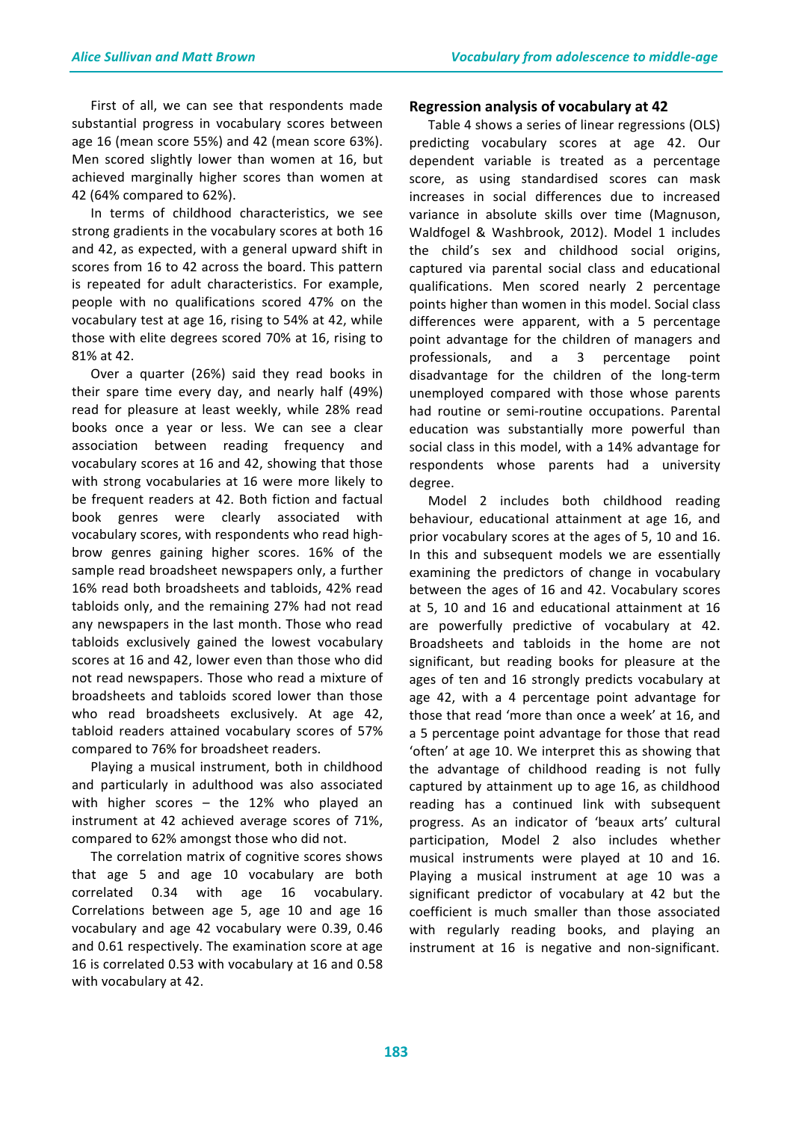First of all, we can see that respondents made substantial progress in vocabulary scores between age 16 (mean score 55%) and 42 (mean score 63%). Men scored slightly lower than women at 16, but achieved marginally higher scores than women at 42 (64% compared to 62%).

In terms of childhood characteristics, we see strong gradients in the vocabulary scores at both 16 and 42, as expected, with a general upward shift in scores from 16 to 42 across the board. This pattern is repeated for adult characteristics. For example, people with no qualifications scored 47% on the vocabulary test at age 16, rising to 54% at 42, while those with elite degrees scored 70% at 16, rising to 81% at 42.

Over a quarter (26%) said they read books in their spare time every day, and nearly half (49%) read for pleasure at least weekly, while 28% read books once a year or less. We can see a clear association between reading frequency and vocabulary scores at 16 and 42, showing that those with strong vocabularies at 16 were more likely to be frequent readers at 42. Both fiction and factual book genres were clearly associated with vocabulary scores, with respondents who read highbrow genres gaining higher scores. 16% of the sample read broadsheet newspapers only, a further 16% read both broadsheets and tabloids, 42% read tabloids only, and the remaining 27% had not read any newspapers in the last month. Those who read tabloids exclusively gained the lowest vocabulary scores at 16 and 42, lower even than those who did not read newspapers. Those who read a mixture of broadsheets and tabloids scored lower than those who read broadsheets exclusively. At age 42, tabloid readers attained vocabulary scores of 57% compared to 76% for broadsheet readers.

Playing a musical instrument, both in childhood and particularly in adulthood was also associated with higher scores  $-$  the 12% who played an instrument at 42 achieved average scores of 71%, compared to 62% amongst those who did not.

The correlation matrix of cognitive scores shows that age 5 and age 10 vocabulary are both correlated 0.34 with age 16 vocabulary. Correlations between age 5, age 10 and age 16 vocabulary and age 42 vocabulary were 0.39, 0.46 and 0.61 respectively. The examination score at age 16 is correlated 0.53 with vocabulary at 16 and 0.58 with vocabulary at 42.

#### **Regression analysis of vocabulary at 42**

Table 4 shows a series of linear regressions (OLS) predicting vocabulary scores at age 42. Our dependent variable is treated as a percentage score, as using standardised scores can mask increases in social differences due to increased variance in absolute skills over time (Magnuson, Waldfogel & Washbrook, 2012). Model 1 includes the child's sex and childhood social origins, captured via parental social class and educational qualifications. Men scored nearly 2 percentage points higher than women in this model. Social class differences were apparent, with a 5 percentage point advantage for the children of managers and professionals, and a 3 percentage point disadvantage for the children of the long-term unemployed compared with those whose parents had routine or semi-routine occupations. Parental education was substantially more powerful than social class in this model, with a 14% advantage for respondents whose parents had a university degree. 

Model 2 includes both childhood reading behaviour, educational attainment at age 16, and prior vocabulary scores at the ages of 5, 10 and 16. In this and subsequent models we are essentially examining the predictors of change in vocabulary between the ages of 16 and 42. Vocabulary scores at 5, 10 and 16 and educational attainment at 16 are powerfully predictive of vocabulary at 42. Broadsheets and tabloids in the home are not significant, but reading books for pleasure at the ages of ten and 16 strongly predicts vocabulary at age 42, with a 4 percentage point advantage for those that read 'more than once a week' at 16, and a 5 percentage point advantage for those that read 'often' at age 10. We interpret this as showing that the advantage of childhood reading is not fully captured by attainment up to age 16, as childhood reading has a continued link with subsequent progress. As an indicator of 'beaux arts' cultural participation, Model 2 also includes whether musical instruments were played at 10 and 16. Playing a musical instrument at age 10 was a significant predictor of vocabulary at 42 but the coefficient is much smaller than those associated with regularly reading books, and playing an instrument at 16 is negative and non-significant.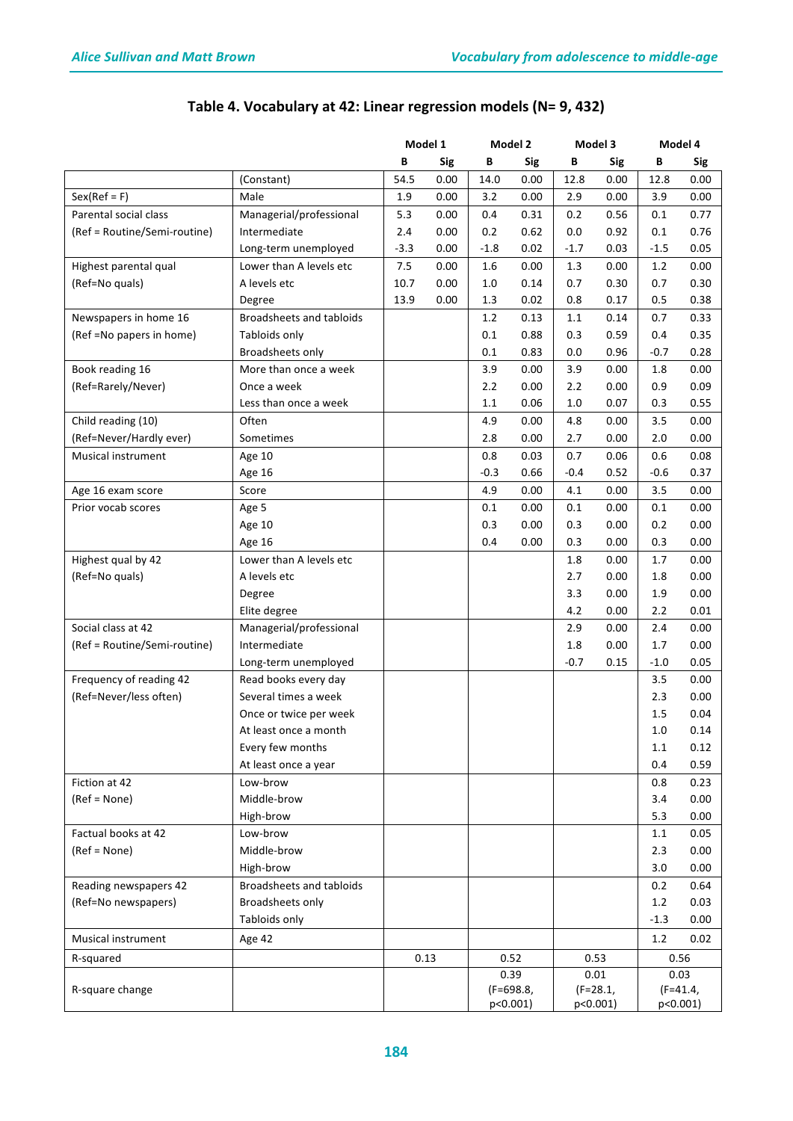|                              |                          | Model 1 |            | Model 2 |             | Model 3 |             | Model 4 |             |
|------------------------------|--------------------------|---------|------------|---------|-------------|---------|-------------|---------|-------------|
|                              |                          | В       | <b>Sig</b> | В       | Sig         | В       | <b>Sig</b>  | В       | Sig         |
|                              | (Constant)               | 54.5    | 0.00       | 14.0    | 0.00        | 12.8    | 0.00        | 12.8    | 0.00        |
| $Sex(Ref = F)$               | Male                     | 1.9     | 0.00       | 3.2     | 0.00        | 2.9     | 0.00        | 3.9     | 0.00        |
| Parental social class        | Managerial/professional  | 5.3     | 0.00       | 0.4     | 0.31        | 0.2     | 0.56        | 0.1     | 0.77        |
| (Ref = Routine/Semi-routine) | Intermediate             | 2.4     | 0.00       | 0.2     | 0.62        | 0.0     | 0.92        | 0.1     | 0.76        |
|                              | Long-term unemployed     | $-3.3$  | 0.00       | $-1.8$  | 0.02        | $-1.7$  | 0.03        | $-1.5$  | 0.05        |
| Highest parental qual        | Lower than A levels etc  | 7.5     | 0.00       | 1.6     | 0.00        | 1.3     | 0.00        | 1.2     | 0.00        |
| (Ref=No quals)               | A levels etc             | 10.7    | 0.00       | 1.0     | 0.14        | 0.7     | 0.30        | 0.7     | 0.30        |
|                              | Degree                   | 13.9    | 0.00       | 1.3     | 0.02        | 0.8     | 0.17        | 0.5     | 0.38        |
| Newspapers in home 16        | Broadsheets and tabloids |         |            | 1.2     | 0.13        | 1.1     | 0.14        | 0.7     | 0.33        |
|                              | Tabloids only            |         |            |         |             |         |             |         |             |
| (Ref = No papers in home)    |                          |         |            | 0.1     | 0.88        | 0.3     | 0.59        | 0.4     | 0.35        |
|                              | Broadsheets only         |         |            | 0.1     | 0.83        | 0.0     | 0.96        | $-0.7$  | 0.28        |
| Book reading 16              | More than once a week    |         |            | 3.9     | 0.00        | 3.9     | 0.00        | 1.8     | 0.00        |
| (Ref=Rarely/Never)           | Once a week              |         |            | 2.2     | 0.00        | 2.2     | 0.00        | 0.9     | 0.09        |
|                              | Less than once a week    |         |            | 1.1     | 0.06        | $1.0$   | 0.07        | 0.3     | 0.55        |
| Child reading (10)           | Often                    |         |            | 4.9     | 0.00        | 4.8     | 0.00        | 3.5     | 0.00        |
| (Ref=Never/Hardly ever)      | Sometimes                |         |            | 2.8     | 0.00        | 2.7     | 0.00        | 2.0     | 0.00        |
| Musical instrument           | Age 10                   |         |            | 0.8     | 0.03        | 0.7     | 0.06        | 0.6     | 0.08        |
|                              | Age 16                   |         |            | $-0.3$  | 0.66        | $-0.4$  | 0.52        | $-0.6$  | 0.37        |
| Age 16 exam score            | Score                    |         |            | 4.9     | 0.00        | 4.1     | 0.00        | 3.5     | 0.00        |
| Prior vocab scores           | Age 5                    |         |            | 0.1     | 0.00        | 0.1     | 0.00        | 0.1     | 0.00        |
|                              | Age 10                   |         |            | 0.3     | 0.00        | 0.3     | 0.00        | 0.2     | 0.00        |
|                              | Age 16                   |         |            | 0.4     | 0.00        | 0.3     | 0.00        | 0.3     | 0.00        |
| Highest qual by 42           | Lower than A levels etc  |         |            |         |             | 1.8     | 0.00        | 1.7     | 0.00        |
| (Ref=No quals)               | A levels etc             |         |            |         |             | 2.7     | 0.00        | 1.8     | 0.00        |
|                              | Degree                   |         |            |         |             | 3.3     | 0.00        | 1.9     | 0.00        |
|                              | Elite degree             |         |            |         |             | 4.2     | 0.00        | 2.2     | 0.01        |
| Social class at 42           | Managerial/professional  |         |            |         |             | 2.9     | 0.00        | 2.4     | 0.00        |
| (Ref = Routine/Semi-routine) | Intermediate             |         |            |         |             | 1.8     | 0.00        | 1.7     | 0.00        |
|                              | Long-term unemployed     |         |            |         |             | $-0.7$  | 0.15        | $-1.0$  | 0.05        |
| Frequency of reading 42      | Read books every day     |         |            |         |             |         |             | 3.5     | 0.00        |
| (Ref=Never/less often)       | Several times a week     |         |            |         |             |         |             | 2.3     | 0.00        |
|                              | Once or twice per week   |         |            |         |             |         |             | 1.5     | 0.04        |
|                              | At least once a month    |         |            |         |             |         |             | 1.0     | 0.14        |
|                              | Every few months         |         |            |         |             |         |             | 1.1     | 0.12        |
|                              | At least once a year     |         |            |         |             |         |             | 0.4     | 0.59        |
| Fiction at 42                | Low-brow                 |         |            |         |             |         |             | 0.8     | 0.23        |
| (Ref = None)                 | Middle-brow              |         |            |         |             |         |             | 3.4     | 0.00        |
|                              | High-brow                |         |            |         |             |         |             | 5.3     | 0.00        |
|                              | Low-brow                 |         |            |         |             |         |             |         |             |
| Factual books at 42          |                          |         |            |         |             |         |             | 1.1     | 0.05        |
| (Ref = None)                 | Middle-brow              |         |            |         |             |         |             | 2.3     | 0.00        |
|                              | High-brow                |         |            |         |             |         |             | 3.0     | 0.00        |
| Reading newspapers 42        | Broadsheets and tabloids |         |            |         |             |         |             | 0.2     | 0.64        |
| (Ref=No newspapers)          | Broadsheets only         |         |            |         |             |         |             | 1.2     | 0.03        |
|                              | Tabloids only            |         |            |         |             |         |             | $-1.3$  | 0.00        |
| Musical instrument           | Age 42                   |         |            |         |             |         |             | 1.2     | 0.02        |
| R-squared                    |                          |         | 0.13       |         | 0.52        | 0.53    |             | 0.56    |             |
|                              |                          |         |            |         | 0.39        |         | 0.01        |         | 0.03        |
| R-square change              |                          |         |            |         | $(F=698.8)$ |         | $(F=28.1,$  |         | $(F=41.4)$  |
|                              |                          |         |            |         | $p<0.001$ ) |         | $p<0.001$ ) |         | $p<0.001$ ) |

# Table 4. Vocabulary at 42: Linear regression models (N= 9, 432)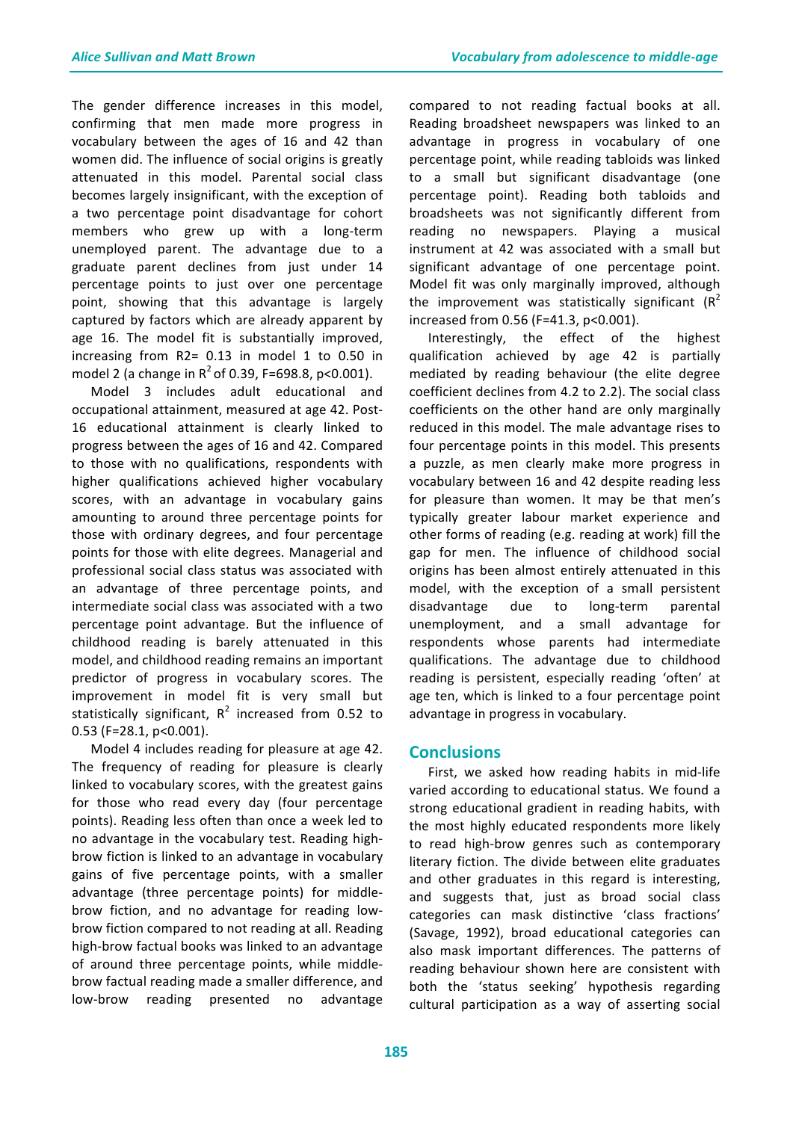The gender difference increases in this model, confirming that men made more progress in vocabulary between the ages of 16 and 42 than women did. The influence of social origins is greatly attenuated in this model. Parental social class becomes largely insignificant, with the exception of a two percentage point disadvantage for cohort members who grew up with a long-term unemployed parent. The advantage due to a graduate parent declines from just under 14 percentage points to just over one percentage point, showing that this advantage is largely captured by factors which are already apparent by age 16. The model fit is substantially improved, increasing from  $R2=$  0.13 in model 1 to 0.50 in model 2 (a change in  $R^2$  of 0.39, F=698.8, p<0.001).

Model 3 includes adult educational and occupational attainment, measured at age 42. Post-16 educational attainment is clearly linked to progress between the ages of 16 and 42. Compared to those with no qualifications, respondents with higher qualifications achieved higher vocabulary scores, with an advantage in vocabulary gains amounting to around three percentage points for those with ordinary degrees, and four percentage points for those with elite degrees. Managerial and professional social class status was associated with an advantage of three percentage points, and intermediate social class was associated with a two percentage point advantage. But the influence of childhood reading is barely attenuated in this model, and childhood reading remains an important predictor of progress in vocabulary scores. The improvement in model fit is very small but statistically significant,  $R^2$  increased from 0.52 to  $0.53$  (F=28.1, p<0.001).

Model 4 includes reading for pleasure at age 42. The frequency of reading for pleasure is clearly linked to vocabulary scores, with the greatest gains for those who read every day (four percentage points). Reading less often than once a week led to no advantage in the vocabulary test. Reading highbrow fiction is linked to an advantage in vocabulary gains of five percentage points, with a smaller advantage (three percentage points) for middlebrow fiction, and no advantage for reading lowbrow fiction compared to not reading at all. Reading high-brow factual books was linked to an advantage of around three percentage points, while middlebrow factual reading made a smaller difference, and low-brow reading presented no advantage

compared to not reading factual books at all. Reading broadsheet newspapers was linked to an advantage in progress in vocabulary of one percentage point, while reading tabloids was linked to a small but significant disadvantage (one percentage point). Reading both tabloids and broadsheets was not significantly different from reading no newspapers. Playing a musical instrument at 42 was associated with a small but significant advantage of one percentage point. Model fit was only marginally improved, although the improvement was statistically significant  $(R^2)$ increased from 0.56 (F=41.3, p<0.001).

Interestingly, the effect of the highest qualification achieved by age 42 is partially mediated by reading behaviour (the elite degree coefficient declines from 4.2 to 2.2). The social class coefficients on the other hand are only marginally reduced in this model. The male advantage rises to four percentage points in this model. This presents a puzzle, as men clearly make more progress in vocabulary between 16 and 42 despite reading less for pleasure than women. It may be that men's typically greater labour market experience and other forms of reading (e.g. reading at work) fill the gap for men. The influence of childhood social origins has been almost entirely attenuated in this model, with the exception of a small persistent disadvantage due to long-term parental unemployment, and a small advantage for respondents whose parents had intermediate qualifications. The advantage due to childhood reading is persistent, especially reading 'often' at age ten, which is linked to a four percentage point advantage in progress in vocabulary.

### **Conclusions**

First, we asked how reading habits in mid-life varied according to educational status. We found a strong educational gradient in reading habits, with the most highly educated respondents more likely to read high-brow genres such as contemporary literary fiction. The divide between elite graduates and other graduates in this regard is interesting, and suggests that, just as broad social class categories can mask distinctive 'class fractions' (Savage, 1992), broad educational categories can also mask important differences. The patterns of reading behaviour shown here are consistent with both the 'status seeking' hypothesis regarding cultural participation as a way of asserting social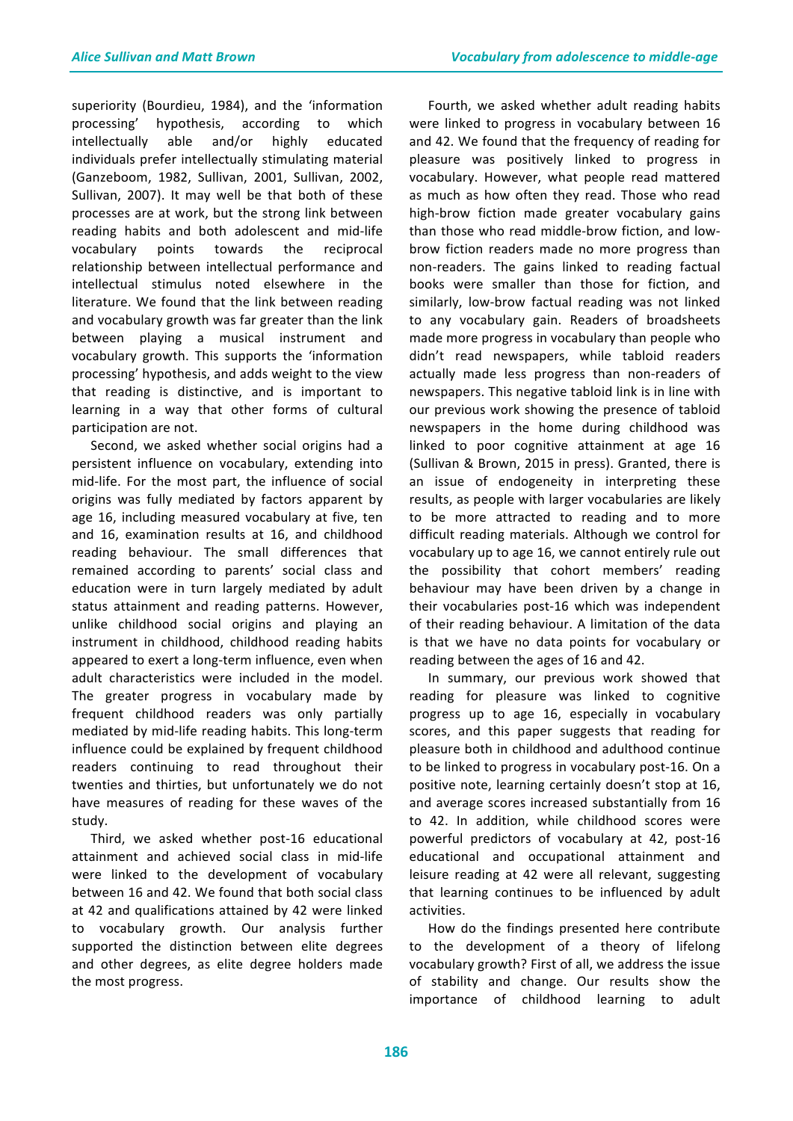superiority (Bourdieu, 1984), and the 'information processing' hypothesis, according to which intellectually able and/or highly educated individuals prefer intellectually stimulating material (Ganzeboom, 1982, Sullivan, 2001, Sullivan, 2002, Sullivan, 2007). It may well be that both of these processes are at work, but the strong link between reading habits and both adolescent and mid-life vocabulary points towards the reciprocal relationship between intellectual performance and intellectual stimulus noted elsewhere in the literature. We found that the link between reading and vocabulary growth was far greater than the link between playing a musical instrument and vocabulary growth. This supports the 'information processing' hypothesis, and adds weight to the view that reading is distinctive, and is important to learning in a way that other forms of cultural participation are not.

Second, we asked whether social origins had a persistent influence on vocabulary, extending into mid-life. For the most part, the influence of social origins was fully mediated by factors apparent by age 16, including measured vocabulary at five, ten and 16, examination results at 16, and childhood reading behaviour. The small differences that remained according to parents' social class and education were in turn largely mediated by adult status attainment and reading patterns. However, unlike childhood social origins and playing an instrument in childhood, childhood reading habits appeared to exert a long-term influence, even when adult characteristics were included in the model. The greater progress in vocabulary made by frequent childhood readers was only partially mediated by mid-life reading habits. This long-term influence could be explained by frequent childhood readers continuing to read throughout their twenties and thirties, but unfortunately we do not have measures of reading for these waves of the study. 

Third, we asked whether post-16 educational attainment and achieved social class in mid-life were linked to the development of vocabulary between 16 and 42. We found that both social class at 42 and qualifications attained by 42 were linked to vocabulary growth. Our analysis further supported the distinction between elite degrees and other degrees, as elite degree holders made the most progress.

Fourth, we asked whether adult reading habits were linked to progress in vocabulary between 16 and 42. We found that the frequency of reading for pleasure was positively linked to progress in vocabulary. However, what people read mattered as much as how often they read. Those who read high-brow fiction made greater vocabulary gains than those who read middle-brow fiction, and lowbrow fiction readers made no more progress than non-readers. The gains linked to reading factual books were smaller than those for fiction, and similarly, low-brow factual reading was not linked to any vocabulary gain. Readers of broadsheets made more progress in vocabulary than people who didn't read newspapers, while tabloid readers actually made less progress than non-readers of newspapers. This negative tabloid link is in line with our previous work showing the presence of tabloid newspapers in the home during childhood was linked to poor cognitive attainment at age 16 (Sullivan & Brown, 2015 in press). Granted, there is an issue of endogeneity in interpreting these results, as people with larger vocabularies are likely to be more attracted to reading and to more difficult reading materials. Although we control for vocabulary up to age 16, we cannot entirely rule out the possibility that cohort members' reading behaviour may have been driven by a change in their vocabularies post-16 which was independent of their reading behaviour. A limitation of the data is that we have no data points for vocabulary or reading between the ages of 16 and 42.

In summary, our previous work showed that reading for pleasure was linked to cognitive progress up to age 16, especially in vocabulary scores, and this paper suggests that reading for pleasure both in childhood and adulthood continue to be linked to progress in vocabulary post-16. On a positive note, learning certainly doesn't stop at 16, and average scores increased substantially from 16 to 42. In addition, while childhood scores were powerful predictors of vocabulary at 42, post-16 educational and occupational attainment and leisure reading at 42 were all relevant, suggesting that learning continues to be influenced by adult activities.

How do the findings presented here contribute to the development of a theory of lifelong vocabulary growth? First of all, we address the issue of stability and change. Our results show the importance of childhood learning to adult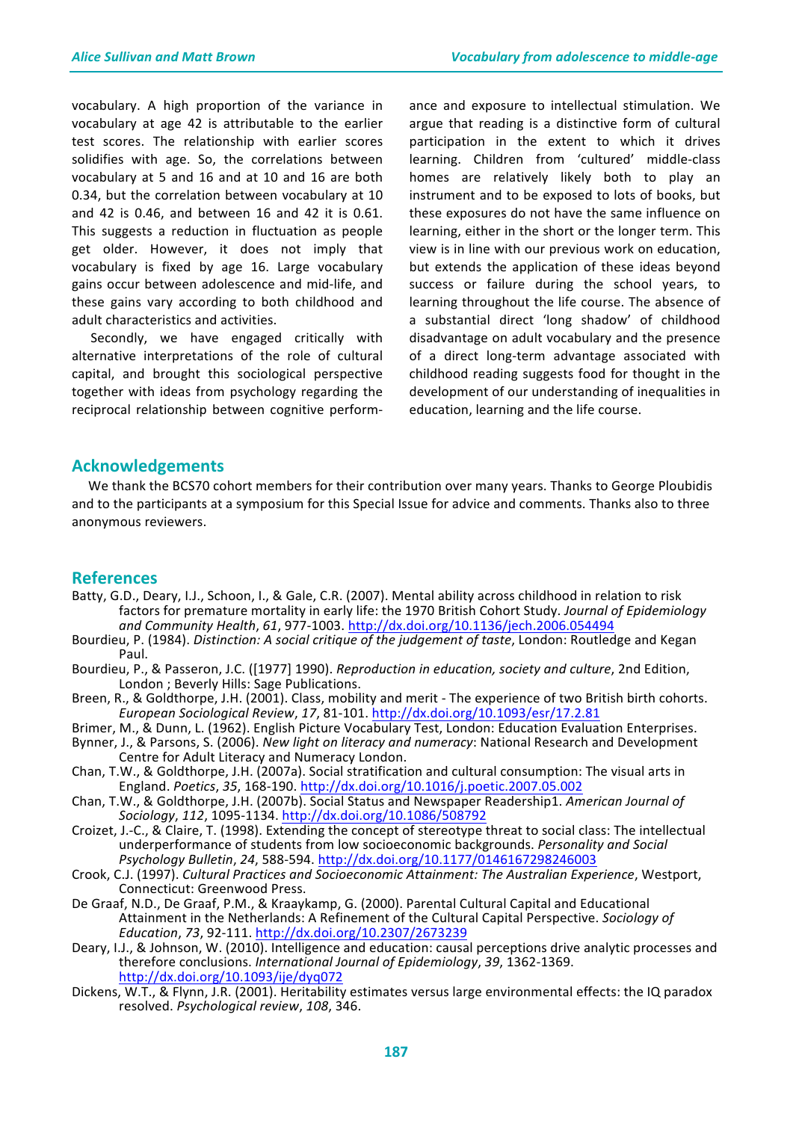vocabulary. A high proportion of the variance in vocabulary at age 42 is attributable to the earlier test scores. The relationship with earlier scores solidifies with age. So, the correlations between vocabulary at 5 and 16 and at 10 and 16 are both 0.34, but the correlation between vocabulary at 10 and  $42$  is  $0.46$ , and between  $16$  and  $42$  it is  $0.61$ . This suggests a reduction in fluctuation as people get older. However, it does not imply that vocabulary is fixed by age 16. Large vocabulary gains occur between adolescence and mid-life, and these gains vary according to both childhood and adult characteristics and activities.

Secondly, we have engaged critically with alternative interpretations of the role of cultural capital, and brought this sociological perspective together with ideas from psychology regarding the reciprocal relationship between cognitive performance and exposure to intellectual stimulation. We argue that reading is a distinctive form of cultural participation in the extent to which it drives learning. Children from 'cultured' middle-class homes are relatively likely both to play an instrument and to be exposed to lots of books, but these exposures do not have the same influence on learning, either in the short or the longer term. This view is in line with our previous work on education, but extends the application of these ideas beyond success or failure during the school years, to learning throughout the life course. The absence of a substantial direct 'long shadow' of childhood disadvantage on adult vocabulary and the presence of a direct long-term advantage associated with childhood reading suggests food for thought in the development of our understanding of inequalities in education, learning and the life course.

### **Acknowledgements**

We thank the BCS70 cohort members for their contribution over many years. Thanks to George Ploubidis and to the participants at a symposium for this Special Issue for advice and comments. Thanks also to three anonymous reviewers.

### **References**

- Batty, G.D., Deary, I.J., Schoon, I., & Gale, C.R. (2007). Mental ability across childhood in relation to risk factors for premature mortality in early life: the 1970 British Cohort Study. Journal of Epidemiology *and Community Health*, *61*, 977-1003. http://dx.doi.org/10.1136/jech.2006.054494
- Bourdieu, P. (1984). *Distinction: A social critique of the judgement of taste*, London: Routledge and Kegan Paul.
- Bourdieu, P., & Passeron, J.C. ([1977] 1990). *Reproduction in education, society and culture*, 2nd Edition, London ; Beverly Hills: Sage Publications.
- Breen, R., & Goldthorpe, J.H. (2001). Class, mobility and merit The experience of two British birth cohorts. *European Sociological Review*, *17*, 81-101. http://dx.doi.org/10.1093/esr/17.2.81
- Brimer, M., & Dunn, L. (1962). English Picture Vocabulary Test, London: Education Evaluation Enterprises.
- Bynner, J., & Parsons, S. (2006). *New light on literacy and numeracy*: National Research and Development Centre for Adult Literacy and Numeracy London.
- Chan, T.W., & Goldthorpe, J.H. (2007a). Social stratification and cultural consumption: The visual arts in England. *Poetics*, *35*, 168-190. http://dx.doi.org/10.1016/j.poetic.2007.05.002
- Chan, T.W., & Goldthorpe, J.H. (2007b). Social Status and Newspaper Readership1. American Journal of *Sociology*, *112*, 1095-1134. http://dx.doi.org/10.1086/508792
- Croizet, J.-C., & Claire, T. (1998). Extending the concept of stereotype threat to social class: The intellectual underperformance of students from low socioeconomic backgrounds. *Personality and Social Psychology Bulletin*, *24*, 588-594. http://dx.doi.org/10.1177/0146167298246003
- Crook, C.J. (1997). *Cultural Practices and Socioeconomic Attainment: The Australian Experience*, Westport, Connecticut: Greenwood Press.
- De Graaf, N.D., De Graaf, P.M., & Kraaykamp, G. (2000). Parental Cultural Capital and Educational Attainment in the Netherlands: A Refinement of the Cultural Capital Perspective. *Sociology of Education*, *73*, 92-111. http://dx.doi.org/10.2307/2673239
- Deary, I.J., & Johnson, W. (2010). Intelligence and education: causal perceptions drive analytic processes and therefore conclusions. International Journal of Epidemiology, 39, 1362-1369. http://dx.doi.org/10.1093/ije/dyq072
- Dickens, W.T., & Flynn, J.R. (2001). Heritability estimates versus large environmental effects: the IQ paradox resolved. *Psychological review*, *108*, 346.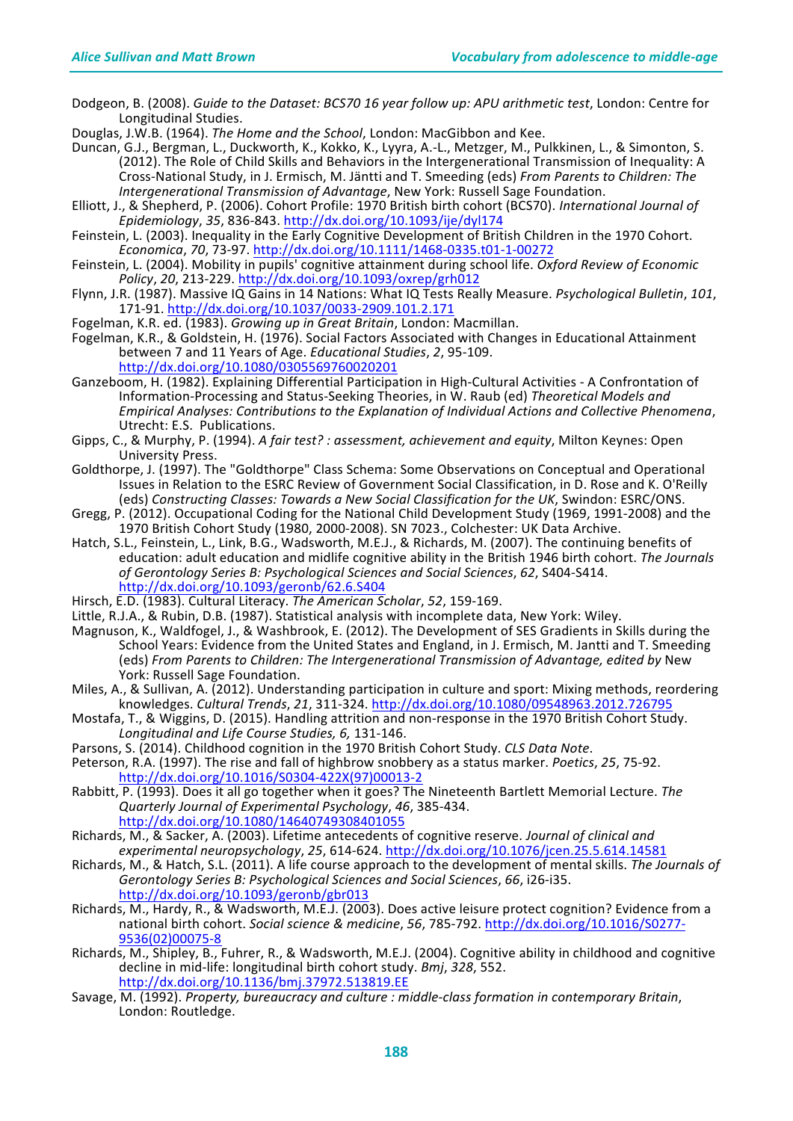Dodgeon, B. (2008). *Guide to the Dataset: BCS70 16 year follow up: APU arithmetic test*, London: Centre for Longitudinal Studies.

Douglas, J.W.B. (1964). *The Home and the School*, London: MacGibbon and Kee.

- Duncan, G.J., Bergman, L., Duckworth, K., Kokko, K., Lyyra, A.-L., Metzger, M., Pulkkinen, L., & Simonton, S. (2012). The Role of Child Skills and Behaviors in the Intergenerational Transmission of Inequality: A Cross-National Study, in J. Ermisch, M. Jäntti and T. Smeeding (eds) From Parents to Children: The *Intergenerational Transmission of Advantage*, New York: Russell Sage Foundation.
- Elliott, J., & Shepherd, P. (2006). Cohort Profile: 1970 British birth cohort (BCS70). *International Journal of Epidemiology*, *35*, 836-843. http://dx.doi.org/10.1093/ije/dyl174
- Feinstein, L. (2003). Inequality in the Early Cognitive Development of British Children in the 1970 Cohort. *Economica*, *70*, 73-97. http://dx.doi.org/10.1111/1468-0335.t01-1-00272
- Feinstein, L. (2004). Mobility in pupils' cognitive attainment during school life. Oxford Review of Economic *Policy*, *20*, 213-229. http://dx.doi.org/10.1093/oxrep/grh012
- Flynn, J.R. (1987). Massive IQ Gains in 14 Nations: What IQ Tests Really Measure. *Psychological Bulletin*, 101, 171-91. http://dx.doi.org/10.1037/0033-2909.101.2.171
- Fogelman, K.R. ed. (1983). *Growing up in Great Britain*, London: Macmillan.
- Fogelman, K.R., & Goldstein, H. (1976). Social Factors Associated with Changes in Educational Attainment between 7 and 11 Years of Age. *Educational Studies*, *2*, 95-109. http://dx.doi.org/10.1080/0305569760020201
- Ganzeboom, H. (1982). Explaining Differential Participation in High-Cultural Activities A Confrontation of Information-Processing and Status-Seeking Theories, in W. Raub (ed) Theoretical Models and *Empirical Analyses: Contributions to the Explanation of Individual Actions and Collective Phenomena*, Utrecht: E.S. Publications.
- Gipps, C., & Murphy, P. (1994). *A fair test?: assessment, achievement and equity*, Milton Keynes: Open University Press.
- Goldthorpe, J. (1997). The "Goldthorpe" Class Schema: Some Observations on Conceptual and Operational Issues in Relation to the ESRC Review of Government Social Classification, in D. Rose and K. O'Reilly (eds) Constructing Classes: Towards a New Social Classification for the UK, Swindon: ESRC/ONS.
- Gregg, P. (2012). Occupational Coding for the National Child Development Study (1969, 1991-2008) and the 1970 British Cohort Study (1980, 2000-2008). SN 7023., Colchester: UK Data Archive.
- Hatch, S.L., Feinstein, L., Link, B.G., Wadsworth, M.E.J., & Richards, M. (2007). The continuing benefits of education: adult education and midlife cognitive ability in the British 1946 birth cohort. The Journals *of Gerontology Series B: Psychological Sciences and Social Sciences*, *62*, S404-S414. http://dx.doi.org/10.1093/geronb/62.6.S404
- Hirsch, E.D. (1983). Cultural Literacy. The American Scholar, 52, 159-169.
- Little, R.J.A., & Rubin, D.B. (1987). Statistical analysis with incomplete data, New York: Wiley.
- Magnuson, K., Waldfogel, J., & Washbrook, E. (2012). The Development of SES Gradients in Skills during the School Years: Evidence from the United States and England, in J. Ermisch, M. Jantti and T. Smeeding (eds) From Parents to Children: The Intergenerational Transmission of Advantage, edited by New York: Russell Sage Foundation.
- Miles, A., & Sullivan, A. (2012). Understanding participation in culture and sport: Mixing methods, reordering knowledges. *Cultural Trends*, *21*, 311-324. http://dx.doi.org/10.1080/09548963.2012.726795
- Mostafa, T., & Wiggins, D. (2015). Handling attrition and non-response in the 1970 British Cohort Study. Longitudinal and Life Course Studies, 6, 131-146.
- Parsons, S. (2014). Childhood cognition in the 1970 British Cohort Study. *CLS Data Note*.
- Peterson, R.A. (1997). The rise and fall of highbrow snobbery as a status marker. *Poetics*, 25, 75-92. http://dx.doi.org/10.1016/S0304-422X(97)00013-2
- Rabbitt, P. (1993). Does it all go together when it goes? The Nineteenth Bartlett Memorial Lecture. The *Quarterly Journal of Experimental Psychology*, *46*, 385-434. http://dx.doi.org/10.1080/14640749308401055
- Richards, M., & Sacker, A. (2003). Lifetime antecedents of cognitive reserve. *Journal of clinical and experimental neuropsychology*, *25*, 614-624. http://dx.doi.org/10.1076/jcen.25.5.614.14581
- Richards, M., & Hatch, S.L. (2011). A life course approach to the development of mental skills. The Journals of Gerontology Series B: Psychological Sciences and Social Sciences, 66, i26-i35. http://dx.doi.org/10.1093/geronb/gbr013
- Richards, M., Hardy, R., & Wadsworth, M.E.J. (2003). Does active leisure protect cognition? Evidence from a national birth cohort. Social science & medicine, 56, 785-792. http://dx.doi.org/10.1016/S0277-9536(02)00075-8
- Richards, M., Shipley, B., Fuhrer, R., & Wadsworth, M.E.J. (2004). Cognitive ability in childhood and cognitive decline in mid-life: longitudinal birth cohort study. *Bmj*, 328, 552. http://dx.doi.org/10.1136/bmj.37972.513819.EE
- Savage, M. (1992). Property, bureaucracy and culture : middle-class formation in contemporary Britain, London: Routledge.